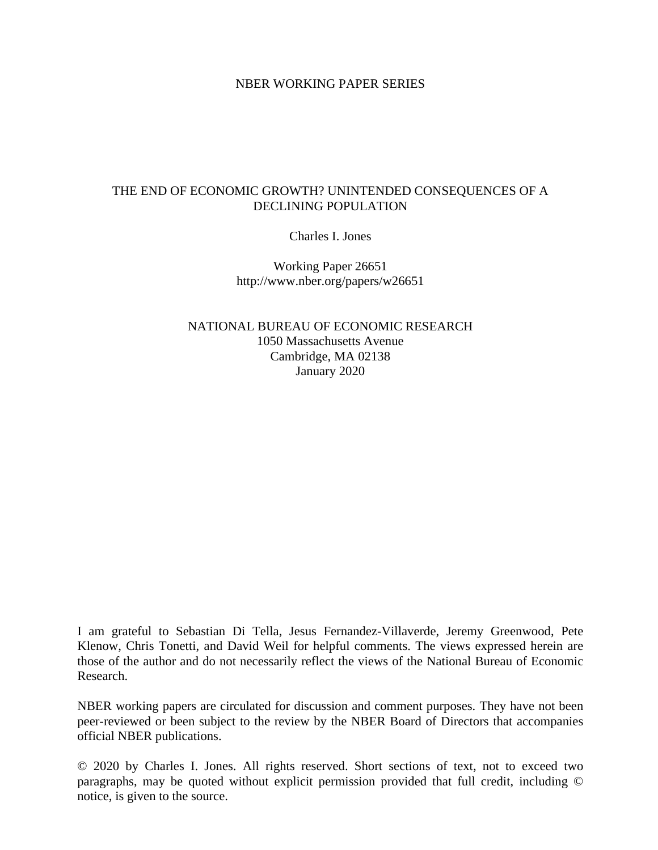### NBER WORKING PAPER SERIES

### THE END OF ECONOMIC GROWTH? UNINTENDED CONSEQUENCES OF A DECLINING POPULATION

Charles I. Jones

Working Paper 26651 http://www.nber.org/papers/w26651

NATIONAL BUREAU OF ECONOMIC RESEARCH 1050 Massachusetts Avenue Cambridge, MA 02138 January 2020

I am grateful to Sebastian Di Tella, Jesus Fernandez-Villaverde, Jeremy Greenwood, Pete Klenow, Chris Tonetti, and David Weil for helpful comments. The views expressed herein are those of the author and do not necessarily reflect the views of the National Bureau of Economic Research.

NBER working papers are circulated for discussion and comment purposes. They have not been peer-reviewed or been subject to the review by the NBER Board of Directors that accompanies official NBER publications.

© 2020 by Charles I. Jones. All rights reserved. Short sections of text, not to exceed two paragraphs, may be quoted without explicit permission provided that full credit, including © notice, is given to the source.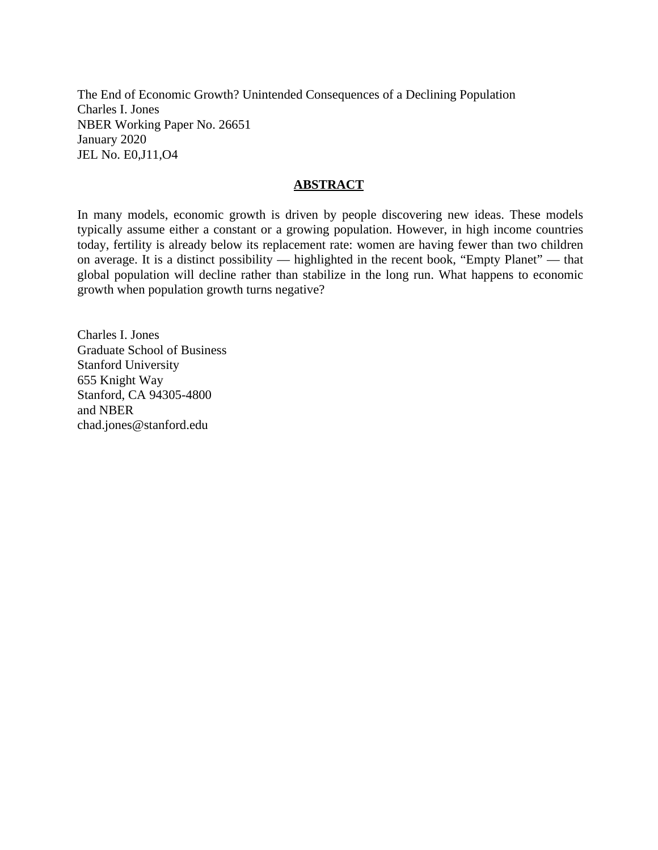The End of Economic Growth? Unintended Consequences of a Declining Population Charles I. Jones NBER Working Paper No. 26651 January 2020 JEL No. E0,J11,O4

### **ABSTRACT**

In many models, economic growth is driven by people discovering new ideas. These models typically assume either a constant or a growing population. However, in high income countries today, fertility is already below its replacement rate: women are having fewer than two children on average. It is a distinct possibility — highlighted in the recent book, "Empty Planet" — that global population will decline rather than stabilize in the long run. What happens to economic growth when population growth turns negative?

Charles I. Jones Graduate School of Business Stanford University 655 Knight Way Stanford, CA 94305-4800 and NBER chad.jones@stanford.edu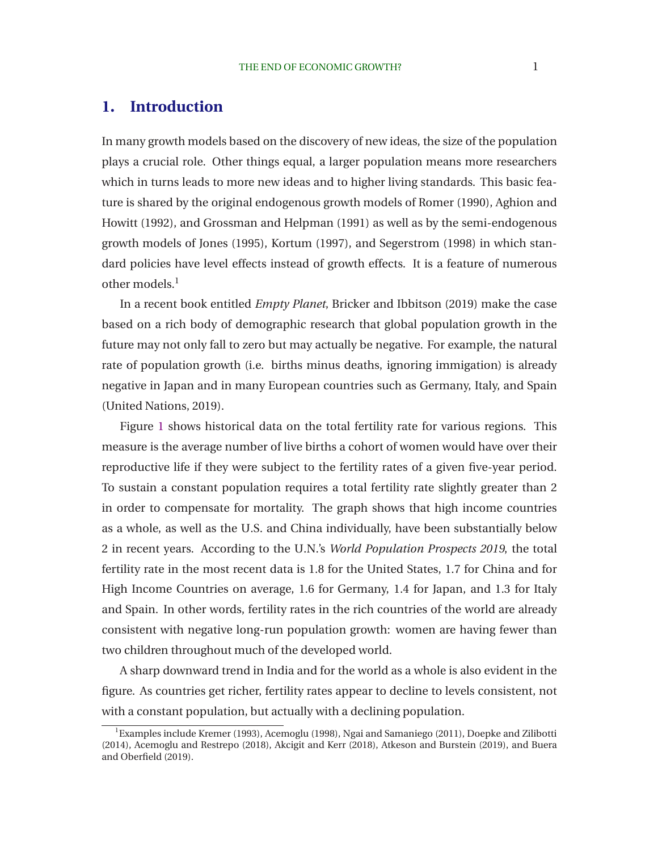# **1. Introduction**

In many growth models based on the discovery of new ideas, the size of the population plays a crucial role. Other things equal, a larger population means more researchers which in turns leads to more new ideas and to higher living standards. This basic feature is [shared by the original endogenous growth models of](#page-31-0) [Romer](#page-34-0)[\(1990](#page-34-0)[\),](#page-31-0) Aghion and Howitt [\(1992\)](#page-31-0), and [Grossman and Helpman](#page-33-0) [\(1991](#page-33-0)) as well as by the semi-endogenous growth models of [Jones](#page-33-0) [\(1995](#page-33-0)), [Kortum](#page-33-0) [\(1997\)](#page-33-0), and [Segerstrom](#page-34-0) [\(1998](#page-34-0)) in which standard policies have level effects instead of growth effects. It is a feature of numerous other models.<sup>1</sup>

In a recent book entitled *Empty Planet*, [Bricker and Ibbitson](#page-32-0) [\(2019\)](#page-32-0) make the case based on a rich body of demographic research that global population growth in the future may not only fall to zero but may actually be negative. For example, the natural rate of population growth (i.e. births minus deaths, ignoring immigation) is already negative in Japan and in many European countries such as Germany, Italy, and Spain [\(United Nations, 2019\)](#page-34-0).

Figure [1](#page-3-0) shows historical data on the total fertility rate for various regions. This measure is the average number of live births a cohort of women would have over their reproductive life if they were subject to the fertility rates of a given five-year period. To sustain a constant population requires a total fertility rate slightly greater than 2 in order to compensate for mortality. The graph shows that high income countries as a whole, as well as the U.S. and China individually, have been substantially below 2 in recent years. According to the U.N.'s *World Population Prospects 2019*, the total fertility rate in the most recent data is 1.8 for the United States, 1.7 for China and for High Income Countries on average, 1.6 for Germany, 1.4 for Japan, and 1.3 for Italy and Spain. In other words, fertility rates in the rich countries of the world are already consistent with negative long-run population growth: women are having fewer than two children throughout much of the developed world.

A sharp downward trend in India and for the world as a whole is also evident in the figure. As countries get richer, fertility rates appear to decline to levels consistent, not with a constant population, but actually with a declining population.

 ${}^{1}$ Examples include [Kremer](#page-34-0) [\(1993](#page-34-0)), [Acemoglu](#page-31-0) [\(1998\)](#page-31-0), [Ngai and Samaniego \(2011](#page-34-0)), [Doepke and Zilibotti](#page-32-0) [\(2014\)](#page-32-0), [Acemoglu and Restrepo \(2018](#page-31-0)[\),](#page-32-0) [Akcigit and Kerr](#page-31-0)[\(2018](#page-31-0)[\),](#page-32-0) [Atkeson and Burstein](#page-31-0)[\(2019](#page-31-0)[\), and](#page-32-0) Buera and Oberfield [\(2019\)](#page-32-0).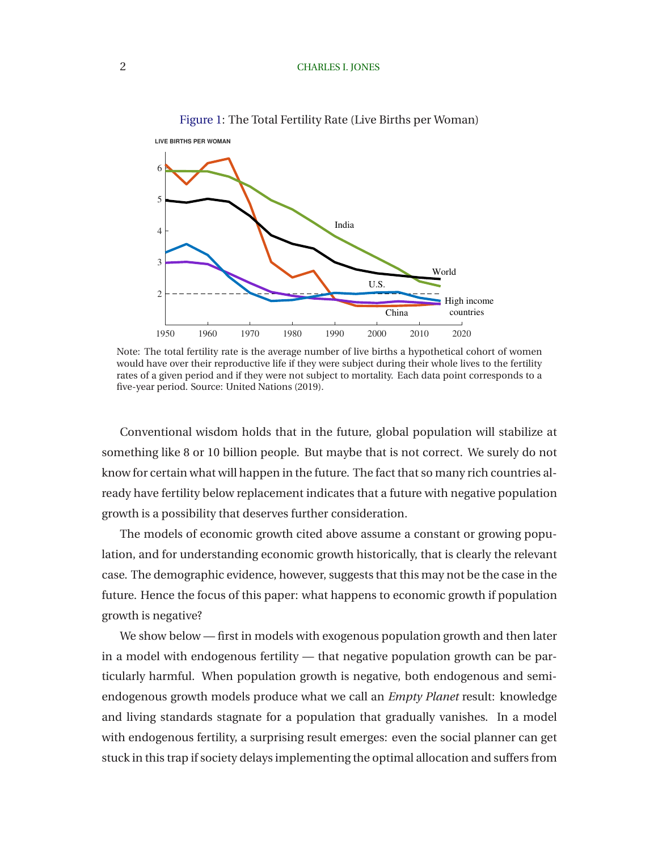<span id="page-3-0"></span>

#### Figure 1: The Total Fertility Rate (Live Births per Woman)

Note: The total fertility rate is the average number of live births a hypothetical cohort of women would have over their reproductive life if they were subject during their whole lives to the fertility rates of a given period and if they were not subject to mortality. Each data point corresponds to a five-year period. Source: [United Nations](#page-34-0) [\(2019\)](#page-34-0).

Conventional wisdom holds that in the future, global population will stabilize at something like 8 or 10 billion people. But maybe that is not correct. We surely do not know for certain what will happen in the future. The fact that so many rich countries already have fertility below replacement indicates that a future with negative population growth is a possibility that deserves further consideration.

The models of economic growth cited above assume a constant or growing population, and for understanding economic growth historically, that is clearly the relevant case. The demographic evidence, however, suggests that this may not be the case in the future. Hence the focus of this paper: what happens to economic growth if population growth is negative?

We show below — first in models with exogenous population growth and then later in a model with endogenous fertility — that negative population growth can be particularly harmful. When population growth is negative, both endogenous and semiendogenous growth models produce what we call an *Empty Planet* result: knowledge and living standards stagnate for a population that gradually vanishes. In a model with endogenous fertility, a surprising result emerges: even the social planner can get stuck in this trap if society delays implementing the optimal allocation and suffers from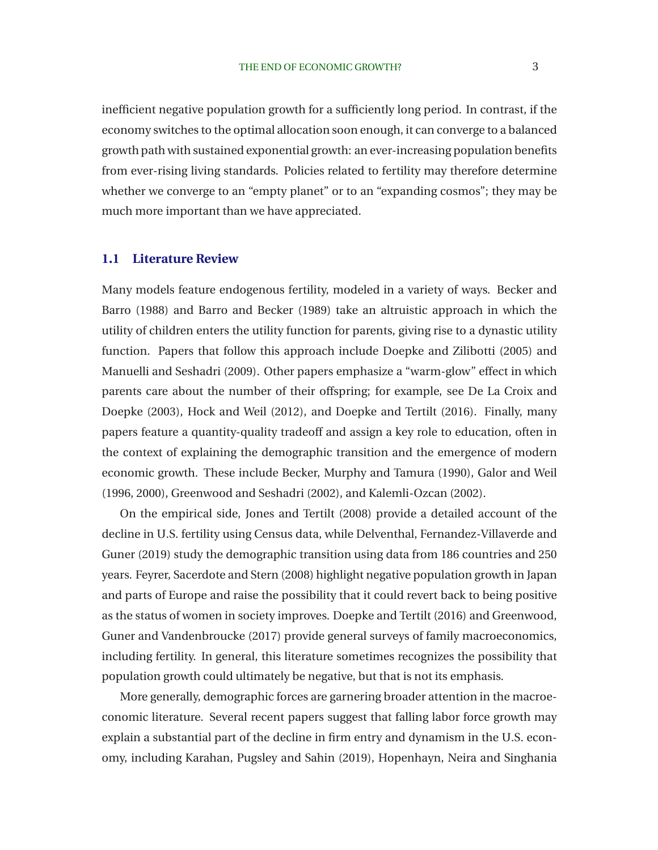inefficient negative population growth for a sufficiently long period. In contrast, if the economy switches to the optimal allocation soon enough, it can converge to a balanced growth path with sustained exponential growth: an ever-increasing population benefits from ever-rising living standards. Policies related to fertility may therefore determine whether we converge to an "empty planet" or to an "expanding cosmos"; they may be much more important than we have appreciated.

### **1.1 Literature Review**

Man[y models feature endogenous fertility, modeled in a variety of ways.](#page-31-0) Becker and Barro [\(1988](#page-31-0)) and [Barro and Becker](#page-31-0) [\(1989](#page-31-0)) take an altruistic approach in which the utility of children enters the utility function for parents, giving rise to a dynastic utility function. Papers that follow this approach include [Doepke and](#page-32-0) Zilibotti [\(2005\)](#page-32-0) and [Manuelli and Seshadri](#page-34-0) [\(2009](#page-34-0)). Other papers emphasize a "warm-glow" effect in which parents [care about the number of their offspring; for example, see](#page-32-0) De La Croix and Doepke [\(2003\)](#page-32-0), [Hock and Weil](#page-33-0) [\(2012\)](#page-33-0), and [Doepke and Tertilt](#page-32-0) [\(2016](#page-32-0)). Finally, many papers feature a quantity-quality tradeoff and assign a key role to education, often in the context of explaining the demographic transition and the emergence of modern economic growth. These include [Becker, Murphy and Tamura \(1990](#page-31-0)), Galor and Weil [\(1996, 2000](#page-33-0)), [Greenwood and Seshadri](#page-33-0) [\(2002](#page-33-0)), and [Kalemli-Ozcan](#page-33-0) [\(2002\)](#page-33-0).

On the empirical side, [Jones and Tertilt](#page-33-0) [\(2008](#page-33-0)) provide a detailed account of the declin[e in U.S. fertility using Census data, while](#page-32-0) Delventhal, Fernandez-Villaverde and Guner [\(2019](#page-32-0)) study the demographic transition using data from 186 countries and 250 years. [Feyrer, Sacerdote and Stern](#page-32-0) [\(2008](#page-32-0)) highlight negative population growth in Japan and parts of Europe and raise the possibility that it could revert back to being positive as the status of women in s[ociety improves.](#page-33-0) [Doepke and Tertilt](#page-32-0)[\(2016](#page-32-0)[\) and](#page-33-0) Greenwood, Guner and Vandenbroucke [\(2017\)](#page-33-0) provide general surveys of family macroeconomics, including fertility. In general, this literature sometimes recognizes the possibility that population growth could ultimately be negative, but that is not its emphasis.

More generally, demographic forces are garnering broader attention in the macroeconomic literature. Several recent papers suggest that falling labor force growth may explain a substantial part of the decline in firm entry and dynamism in the U.S. economy, including [Karahan, Pugsley and Sahin](#page-33-0) [\(2019\)](#page-33-0), [Hopenhayn, Neira and Singhania](#page-33-0)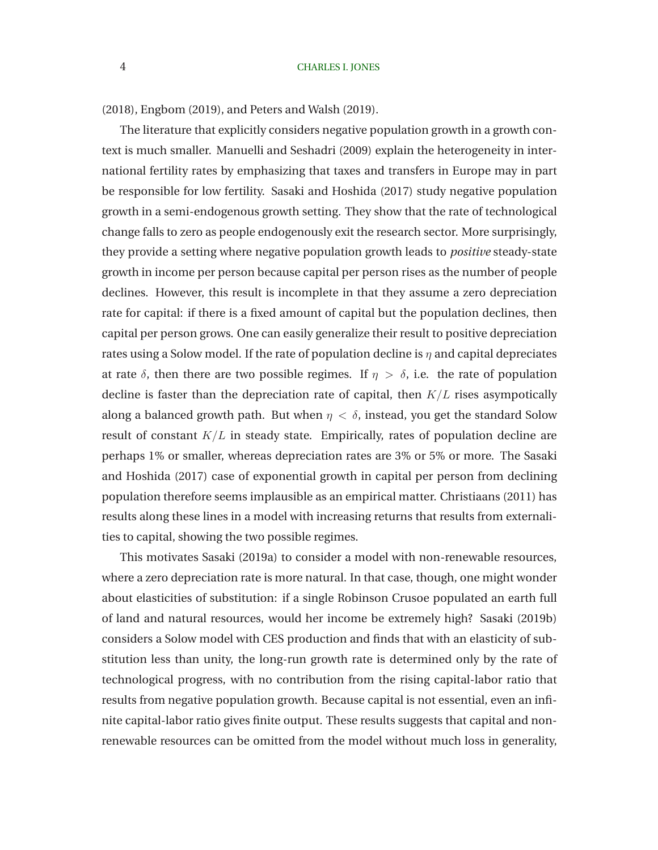[\(2018\)](#page-33-0), [Engbom](#page-32-0) [\(2019](#page-32-0)), and [Peters and Walsh](#page-34-0) [\(2019\)](#page-34-0).

The literature that explicitly considers negative population growth in a growth context is much smaller. [Manuelli and Seshadri](#page-34-0) [\(2009](#page-34-0)) explain the heterogeneity in international fertility rates by emphasizing that taxes and transfers in Europe may in part be responsible for low fertility. [Sasaki and Hoshida](#page-34-0) [\(2017\)](#page-34-0) study negative population growth in a semi-endogenous growth setting. They show that the rate of technological change falls to zero as people endogenously exit the research sector. More surprisingly, they provide a setting where negative population growth leads to *positive* steady-state growth in income per person because capital per person rises as the number of people declines. However, this result is incomplete in that they assume a zero depreciation rate for capital: if there is a fixed amount of capital but the population declines, then capital per person grows. One can easily generalize their result to positive depreciation rates using a Solow model. If the rate of population decline is  $\eta$  and capital depreciates at rate  $\delta$ , then there are two possible regimes. If  $\eta > \delta$ , i.e. the rate of population decline is faster than the depreciation rate of capital, then  $K/L$  rises asympotically along a balanced growth path. But when  $\eta < \delta$ , instead, you get the standard Solow result of constant  $K/L$  in steady state. Empirically, rates of population decline are perhaps 1% [or smaller, whereas depreciation rates are 3% or 5% or more. The](#page-34-0) Sasaki and Hoshida [\(2017](#page-34-0)) case of exponential growth in capital per person from declining population therefore seems implausible as an empirical matter. [Christiaans](#page-32-0) [\(2011](#page-32-0)) has results along these lines in a model with increasing returns that results from externalities to capital, showing the two possible regimes.

This motivates [Sasaki](#page-34-0) [\(2019a\)](#page-34-0) to consider a model with non-renewable resources, where a zero depreciation rate is more natural. In that case, though, one might wonder about elasticities of substitution: if a single Robinson Crusoe populated an earth full of land and natural resources, would her income be extremely high? [Sasaki](#page-34-0) [\(2019b\)](#page-34-0) considers a Solow model with CES production and finds that with an elasticity of substitution less than unity, the long-run growth rate is determined only by the rate of technological progress, with no contribution from the rising capital-labor ratio that results from negative population growth. Because capital is not essential, even an infinite capital-labor ratio gives finite output. These results suggests that capital and nonrenewable resources can be omitted from the model without much loss in generality,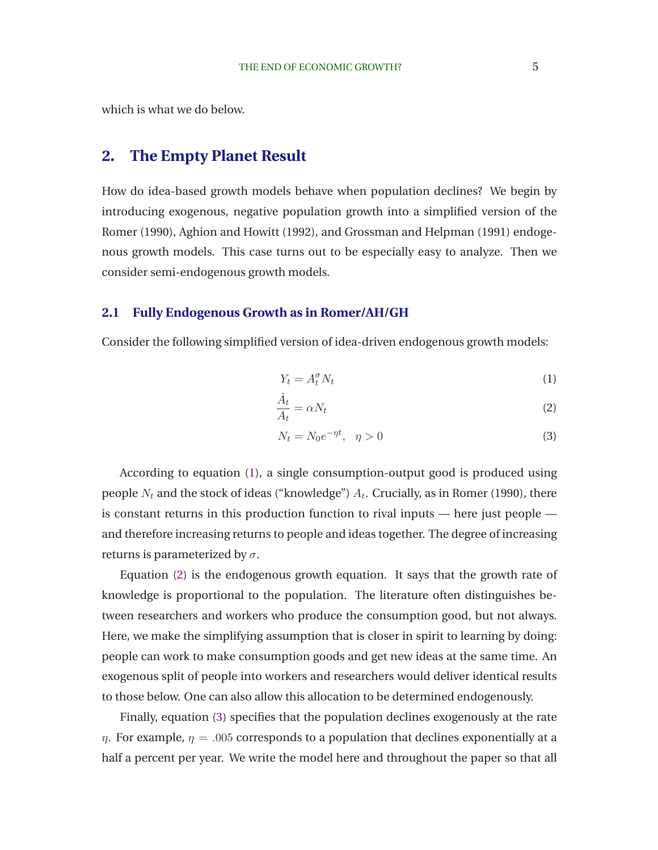<span id="page-6-0"></span>which is what we do below.

# **2. The Empty Planet Result**

How do idea-based growth models behave when population declines? We begin by introducing exogenous, negative population growth into a simplified version of the [Romer](#page-34-0) [\(1990](#page-34-0)), [Aghion and Howitt \(1992\)](#page-31-0), and [Grossman and Helpman](#page-33-0) [\(1991](#page-33-0)) endogenous growth models. This case turns out to be especially easy to analyze. Then we consider semi-endogenous growth models.

### **2.1 Fully Endogenous Growth as in Romer/AH/GH**

Consider the following simplified version of idea-driven endogenous growth models:

$$
Y_t = A_t^\sigma N_t \tag{1}
$$

$$
\frac{\dot{A}_t}{A_t} = \alpha N_t \tag{2}
$$

$$
N_t = N_0 e^{-\eta t}, \quad \eta > 0 \tag{3}
$$

According to equation (1), a single consumption-output good is produced using people  $N_t$  and the stock of ideas ("knowledge")  $A_t.$  Crucially, as in [Romer](#page-34-0) [\(1990](#page-34-0)), there is constant returns in this production function to rival inputs — here just people and therefore increasing returns to people and ideas together. The degree of increasing returns is parameterized by  $\sigma$ .

Equation (2) is the endogenous growth equation. It says that the growth rate of knowledge is proportional to the population. The literature often distinguishes between researchers and workers who produce the consumption good, but not always. Here, we make the simplifying assumption that is closer in spirit to learning by doing: people can work to make consumption goods and get new ideas at the same time. An exogenous split of people into workers and researchers would deliver identical results to those below. One can also allow this allocation to be determined endogenously.

Finally, equation (3) specifies that the population declines exogenously at the rate  $\eta$ . For example,  $\eta = 0.005$  corresponds to a population that declines exponentially at a half a percent per year. We write the model here and throughout the paper so that all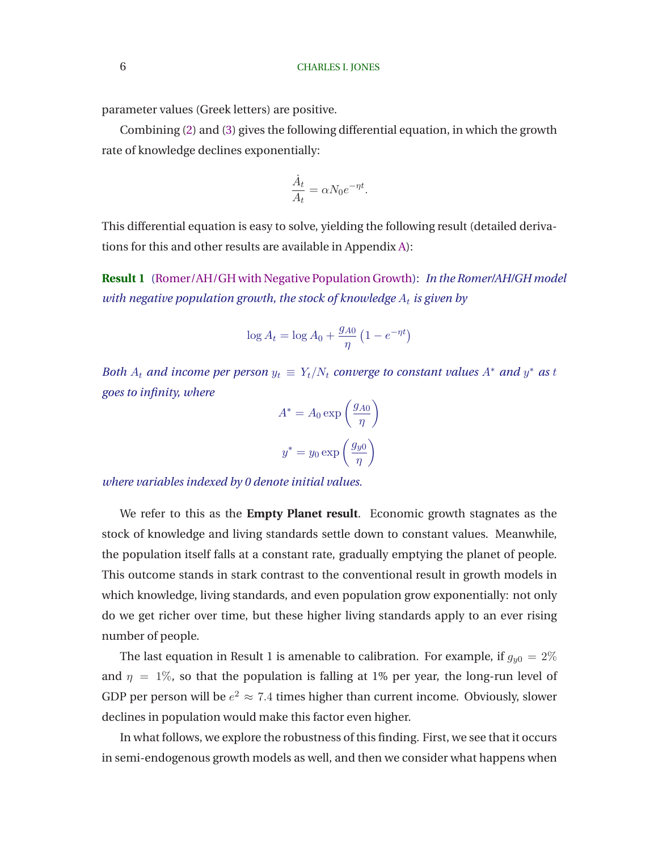<span id="page-7-0"></span>parameter values (Greek letters) are positive.

Combining [\(2\)](#page-6-0) and [\(3\)](#page-6-0) gives the following differential equation, in which the growth rate of knowledge declines exponentially:

$$
\frac{\dot{A}_t}{A_t} = \alpha N_0 e^{-\eta t}.
$$

This differential equation is easy to solve, yielding the following result (detailed derivations for this and other results are available in Appendix [A\)](#page-35-0):

**Result 1** [\(Romer/AH/GH with Negative Population Growth\)](#page-35-0): *In the Romer/AH/GH model with negative population growth, the stock of knowledge*  $A_t$  *is given by* 

$$
\log A_t = \log A_0 + \frac{g_{A0}}{\eta} \left( 1 - e^{-\eta t} \right)
$$

*Both*  $A_t$  *and income per person*  $y_t \equiv Y_t/N_t$  *converge to constant values*  $A^*$  *and*  $y^*$  *as t goes to infinity, where*

$$
A^* = A_0 \exp\left(\frac{g_{A0}}{\eta}\right)
$$

$$
y^* = y_0 \exp\left(\frac{g_{y0}}{\eta}\right)
$$

*where variables indexed by 0 denote initial values.*

We refer to this as the **Empty Planet result**. Economic growth stagnates as the stock of knowledge and living standards settle down to constant values. Meanwhile, the population itself falls at a constant rate, gradually emptying the planet of people. This outcome stands in stark contrast to the conventional result in growth models in which knowledge, living standards, and even population grow exponentially: not only do we get richer over time, but these higher living standards apply to an ever rising number of people.

The last equation in Result 1 is amenable to calibration. For example, if  $g_{y0} = 2\%$ and  $\eta = 1\%$ , so that the population is falling at 1% per year, the long-run level of GDP per person will be  $e^2 \approx 7.4$  times higher than current income. Obviously, slower declines in population would make this factor even higher.

In what follows, we explore the robustness of this finding. First, we see that it occurs in semi-endogenous growth models as well, and then we consider what happens when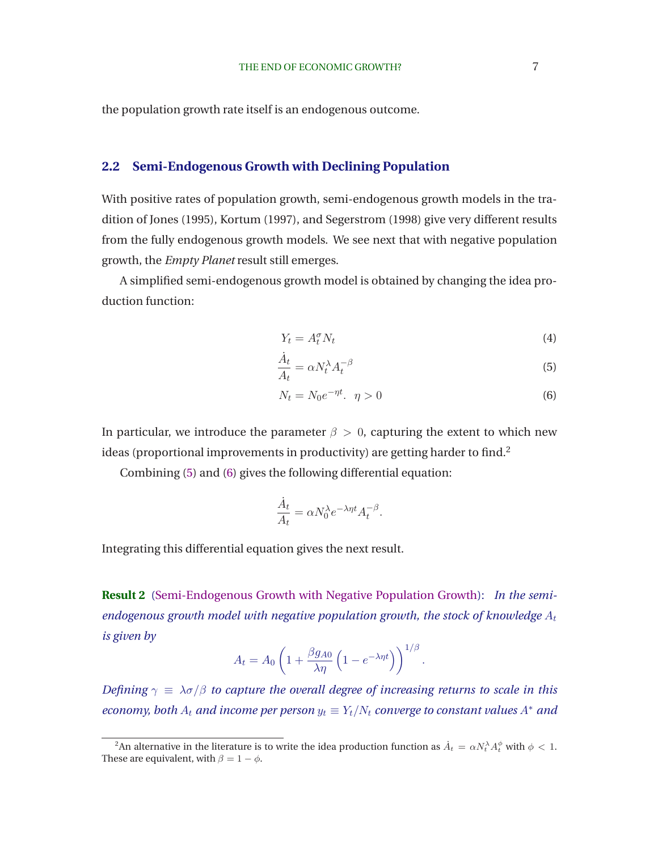<span id="page-8-0"></span>the population growth rate itself is an endogenous outcome.

### **2.2 Semi-Endogenous Growth with Declining Population**

With positive rates of population growth, semi-endogenous growth models in the tradition of [Jones](#page-33-0) [\(1995\)](#page-33-0), [Kortum](#page-33-0) [\(1997](#page-33-0)), and [Segerstrom \(1998](#page-34-0)) give very different results from the fully endogenous growth models. We see next that with negative population growth, the *Empty Planet* result still emerges.

A simplified semi-endogenous growth model is obtained by changing the idea production function:

$$
Y_t = A_t^\sigma N_t \tag{4}
$$

$$
\frac{A_t}{A_t} = \alpha N_t^{\lambda} A_t^{-\beta} \tag{5}
$$

$$
N_t = N_0 e^{-\eta t}, \quad \eta > 0 \tag{6}
$$

In particular, we introduce the parameter  $\beta > 0$ , capturing the extent to which new ideas (proportional improvements in productivity) are getting harder to find.<sup>2</sup>

Combining (5) and (6) gives the following differential equation:

 $\ddot{\phantom{0}}$ 

$$
\frac{\dot{A}_t}{A_t} = \alpha N_0^{\lambda} e^{-\lambda \eta t} A_t^{-\beta}.
$$

Integrating this differential equation gives the next result.

**Result 2** [\(Semi-Endogenous Growth with Negative Population Growth\)](#page-36-0): *In the semiendogenous growth model with negative population growth, the stock of knowledge*  $A_t$ *is given by*

$$
A_t = A_0 \left( 1 + \frac{\beta g_{A0}}{\lambda \eta} \left( 1 - e^{-\lambda \eta t} \right) \right)^{1/\beta}.
$$

*Defining*  $\gamma \equiv \lambda \sigma/\beta$  *to capture the overall degree of increasing returns to scale in this economy, both*  $A_t$  *and income per person*  $y_t \equiv Y_t/N_t$  *converge to constant values*  $A^*$  *and* 

<sup>&</sup>lt;sup>2</sup>An alternative in the literature is to write the idea production function as  $\dot{A}_t=\alpha N_t^{\lambda}A_t^{\phi}$  with  $\phi< 1$ . These are equivalent, with  $\beta = 1 - \phi$ .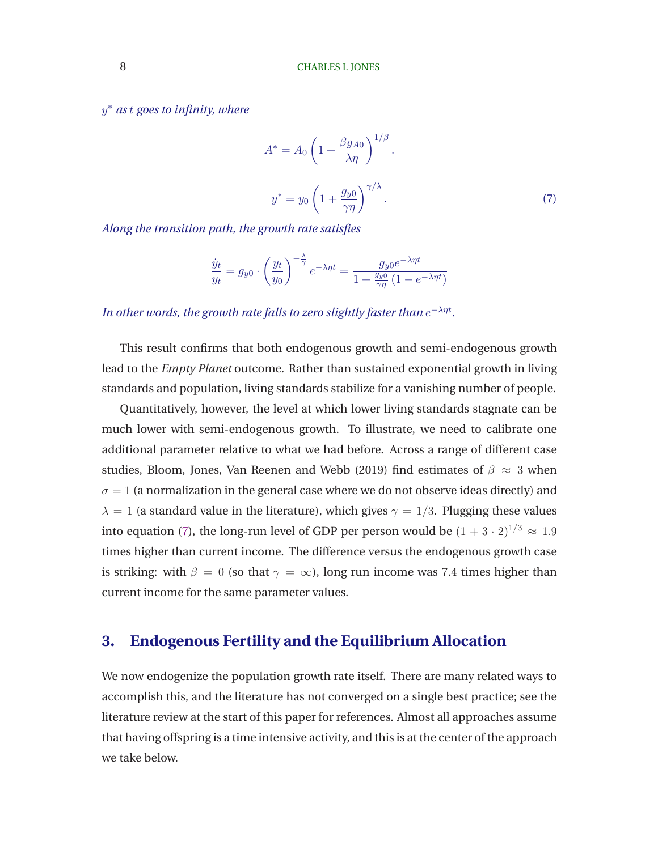<span id="page-9-0"></span>y <sup>∗</sup> *as* t *goes to infinity, where*

$$
A^* = A_0 \left( 1 + \frac{\beta g_{A0}}{\lambda \eta} \right)^{1/\beta}.
$$
  

$$
y^* = y_0 \left( 1 + \frac{g_{y0}}{\gamma \eta} \right)^{\gamma/\lambda}.
$$
 (7)

*Along the transition path, the growth rate satisfies*

$$
\frac{\dot{y}_t}{y_t} = g_{y0} \cdot \left(\frac{y_t}{y_0}\right)^{-\frac{\lambda}{\gamma}} e^{-\lambda \eta t} = \frac{g_{y0} e^{-\lambda \eta t}}{1 + \frac{g_{y0}}{\gamma \eta} \left(1 - e^{-\lambda \eta t}\right)}
$$

In other words, the growth rate falls to zero slightly faster than  $e^{-\lambda \eta t}$ .

This result confirms that both endogenous growth and semi-endogenous growth lead to the *Empty Planet* outcome. Rather than sustained exponential growth in living standards and population, living standards stabilize for a vanishing number of people.

Quantitatively, however, the level at which lower living standards stagnate can be much lower with semi-endogenous growth. To illustrate, we need to calibrate one additional parameter relative to what we had before. Across a range of different case studies, [Bloom, Jones, Van Reenen and Webb](#page-32-0) [\(2019](#page-32-0)) find estimates of  $\beta \approx 3$  when  $\sigma = 1$  (a normalization in the general case where we do not observe ideas directly) and  $\lambda = 1$  (a standard value in the literature), which gives  $\gamma = 1/3$ . Plugging these values into equation (7), the long-run level of GDP per person would be  $(1 + 3 \cdot 2)^{1/3} \approx 1.9$ times higher than current income. The difference versus the endogenous growth case is striking: with  $\beta = 0$  (so that  $\gamma = \infty$ ), long run income was 7.4 times higher than current income for the same parameter values.

### **3. Endogenous Fertility and the Equilibrium Allocation**

We now endogenize the population growth rate itself. There are many related ways to accomplish this, and the literature has not converged on a single best practice; see the literature review at the start of this paper for references. Almost all approaches assume that having offspring is a time intensive activity, and this is at the center of the approach we take below.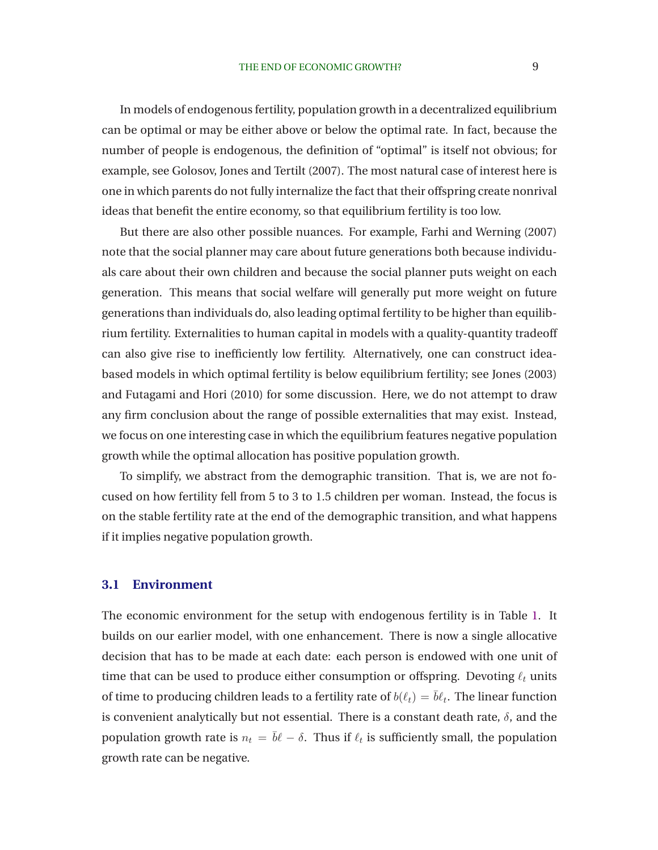In models of endogenous fertility, population growth in a decentralized equilibrium can be optimal or may be either above or below the optimal rate. In fact, because the number of people is endogenous, the definition of "optimal" is itself not obvious; for example, see [Golosov, Jones and Tertilt](#page-33-0) [\(2007\)](#page-33-0). The most natural case of interest here is one in which parents do not fully internalize the fact that their offspring create nonrival ideas that benefit the entire economy, so that equilibrium fertility is too low.

But there are also other possible nuances. For example, [Farhi and Werning](#page-32-0) [\(2007\)](#page-32-0) note that the social planner may care about future generations both because individuals care about their own children and because the social planner puts weight on each generation. This means that social welfare will generally put more weight on future generations than individuals do, also leading optimal fertility to be higher than equilibrium fertility. Externalities to human capital in models with a quality-quantity tradeoff can also give rise to inefficiently low fertility. Alternatively, one can construct ideabased models in which optimal fertility is below equilibrium fertility; see [Jones](#page-33-0) [\(2003\)](#page-33-0) and [Futagami and Hori](#page-32-0) [\(2010](#page-32-0)) for some discussion. Here, we do not attempt to draw any firm conclusion about the range of possible externalities that may exist. Instead, we focus on one interesting case in which the equilibrium features negative population growth while the optimal allocation has positive population growth.

To simplify, we abstract from the demographic transition. That is, we are not focused on how fertility fell from 5 to 3 to 1.5 children per woman. Instead, the focus is on the stable fertility rate at the end of the demographic transition, and what happens if it implies negative population growth.

### **3.1 Environment**

The economic environment for the setup with endogenous fertility is in Table [1.](#page-11-0) It builds on our earlier model, with one enhancement. There is now a single allocative decision that has to be made at each date: each person is endowed with one unit of time that can be used to produce either consumption or offspring. Devoting  $\ell_t$  units of time to producing children leads to a fertility rate of  $b(\ell_t)=\bar{b}\ell_t.$  The linear function is convenient analytically but not essential. There is a constant death rate,  $\delta$ , and the population growth rate is  $n_t\,=\, \bar b \ell - \delta.$  Thus if  $\ell_t$  is sufficiently small, the population growth rate can be negative.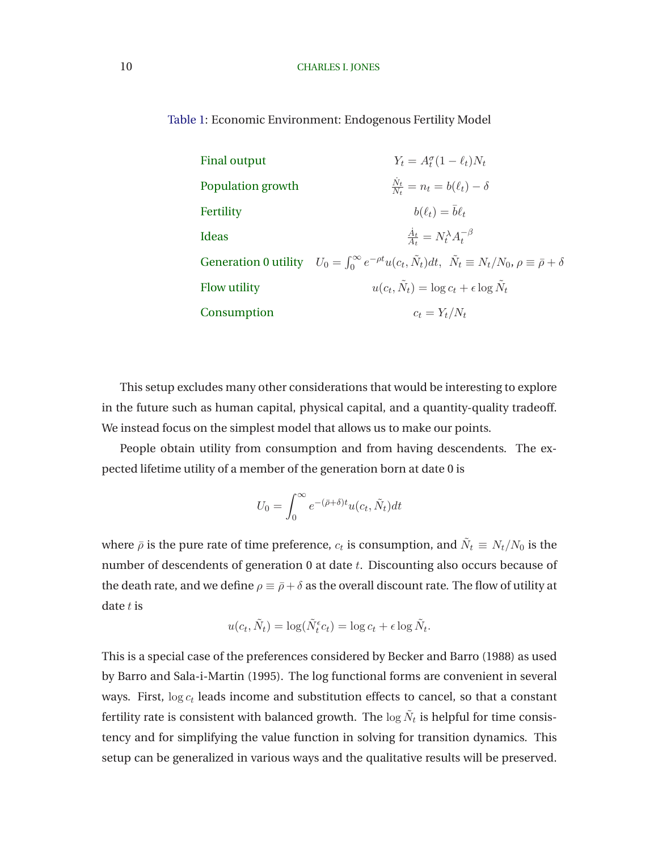<span id="page-11-0"></span>Table 1: Economic Environment: Endogenous Fertility Model

| <b>Final output</b> | $Y_t = A_t^{\sigma} (1 - \ell_t) N_t$                                                                                                            |
|---------------------|--------------------------------------------------------------------------------------------------------------------------------------------------|
| Population growth   | $\frac{N_t}{N_t} = n_t = b(\ell_t) - \delta$                                                                                                     |
| Fertility           | $b(\ell_t) = \overline{b}\ell_t$                                                                                                                 |
| Ideas               | $\frac{A_t}{4} = N_t^{\lambda} A_t^{-\beta}$                                                                                                     |
|                     | Generation 0 utility $U_0 = \int_0^\infty e^{-\rho t} u(c_t, \tilde{N}_t) dt$ , $\tilde{N}_t \equiv N_t/N_0$ , $\rho \equiv \bar{\rho} + \delta$ |
| Flow utility        | $u(c_t, \tilde{N}_t) = \log c_t + \epsilon \log N_t$                                                                                             |
| Consumption         | $c_t = Y_t/N_t$                                                                                                                                  |

This setup excludes many other considerations that would be interesting to explore in the future such as human capital, physical capital, and a quantity-quality tradeoff. We instead focus on the simplest model that allows us to make our points.

People obtain utility from consumption and from having descendents. The expected lifetime utility of a member of the generation born at date 0 is

$$
U_0 = \int_0^\infty e^{-(\bar{\rho} + \delta)t} u(c_t, \tilde{N}_t) dt
$$

where  $\bar{\rho}$  is the pure rate of time preference,  $c_t$  is consumption, and  $\tilde{N}_t\equiv N_t/N_0$  is the number of descendents of generation 0 at date t. Discounting also occurs because of the death rate, and we define  $\rho \equiv \bar{\rho} + \delta$  as the overall discount rate. The flow of utility at date  $t$  is

$$
u(c_t, \tilde{N}_t) = \log(\tilde{N}_t^{\epsilon} c_t) = \log c_t + \epsilon \log \tilde{N}_t.
$$

This is a special case of the preferences considered by Becker [and Barro \(1988](#page-31-0)) as used by [Barro and Sala-i-Martin](#page-31-0) [\(1995](#page-31-0)). The log functional forms are convenient in several ways. First,  $\log c_t$  leads income and substitution effects to cancel, so that a constant fertility rate is consistent with balanced growth. The  $\log \tilde{N}_t$  is helpful for time consistency and for simplifying the value function in solving for transition dynamics. This setup can be generalized in various ways and the qualitative results will be preserved.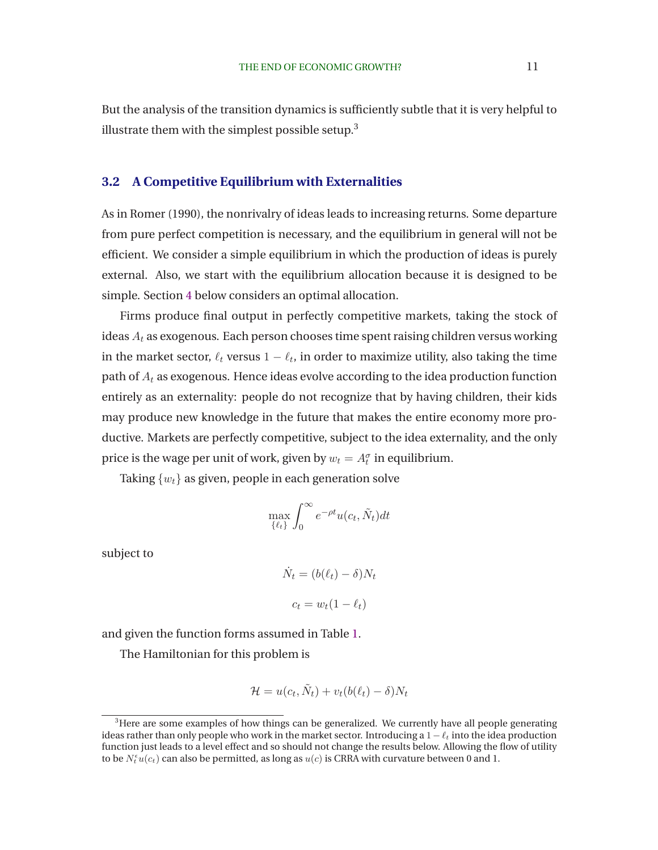But the analysis of the transition dynamics is sufficiently subtle that it is very helpful to illustrate them with the simplest possible setup. $3$ 

### **3.2 A Competitive Equilibrium with Externalities**

As in [Romer](#page-34-0) [\(1990](#page-34-0)), the nonrivalry of ideas leads to increasing returns. Some departure from pure perfect competition is necessary, and the equilibrium in general will not be efficient. We consider a simple equilibrium in which the production of ideas is purely external. Also, we start with the equilibrium allocation because it is designed to be simple. Section [4](#page-14-0) below considers an optimal allocation.

Firms produce final output in perfectly competitive markets, taking the stock of ideas  $A_t$  as exogenous. Each person chooses time spent raising children versus working in the market sector,  $\ell_t$  versus  $1-\ell_t$ , in order to maximize utility, also taking the time path of  $A_t$  as exogenous. Hence ideas evolve according to the idea production function entirely as an externality: people do not recognize that by having children, their kids may produce new knowledge in the future that makes the entire economy more productive. Markets are perfectly competitive, subject to the idea externality, and the only price is the wage per unit of work, given by  $w_t = A_t^{\sigma}$  in equilibrium.

Taking  $\{w_t\}$  as given, people in each generation solve

$$
\max_{\{\ell_t\}} \int_0^\infty e^{-\rho t} u(c_t, \tilde{N}_t) dt
$$

subject to

$$
\dot{N}_t = (b(\ell_t) - \delta)N_t
$$

$$
c_t = w_t(1 - \ell_t)
$$

and given the function forms assumed in Table [1.](#page-11-0)

The Hamiltonian for this problem is

$$
\mathcal{H} = u(c_t, \tilde{N}_t) + v_t(b(\ell_t) - \delta)N_t
$$

<sup>&</sup>lt;sup>3</sup>Here are some examples of how things can be generalized. We currently have all people generating ideas rather than only people who work in the market sector. Introducing a  $1-\ell_t$  into the idea production function just leads to a level effect and so should not change the results below. Allowing the flow of utility to be  $N_t^\epsilon u(c_t)$  can also be permitted, as long as  $u(c)$  is CRRA with curvature between 0 and 1.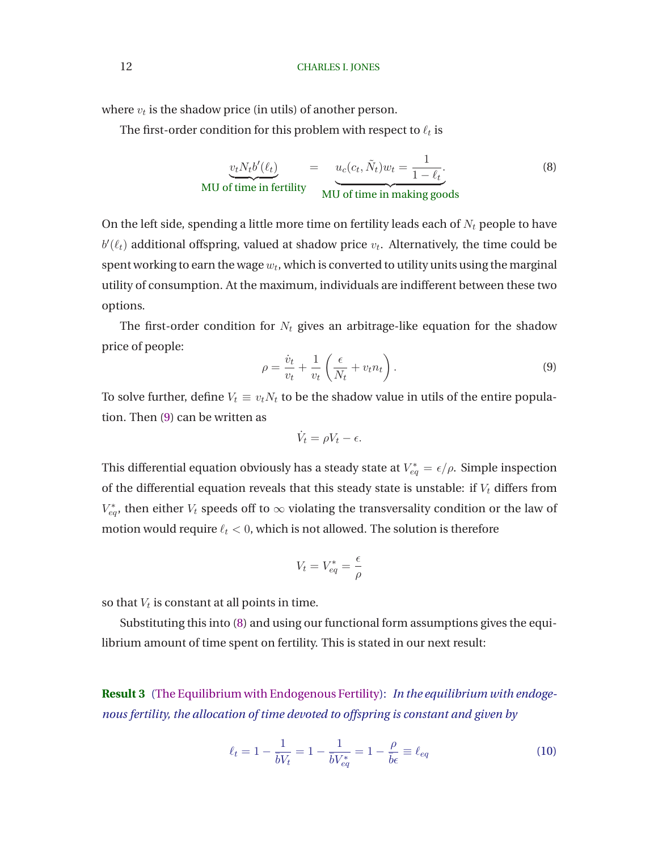<span id="page-13-0"></span>where  $v_t$  is the shadow price (in utils) of another person.

The first-order condition for this problem with respect to  $\ell_t$  is

$$
\underbrace{v_t N_t b'(\ell_t)}_{\text{MU of time in fertility}} = \underbrace{u_c(c_t, \tilde{N}_t) w_t}_{\text{MU of time in making goods}} = \frac{1}{1 - \ell_t}.
$$
\n(8)

On the left side, spending a little more time on fertility leads each of  $N_t$  people to have  $b'(\ell_t)$  additional offspring, valued at shadow price  $v_t$ . Alternatively, the time could be spent working to earn the wage  $w_t$ , which is converted to utility units using the marginal utility of consumption. At the maximum, individuals are indifferent between these two options.

The first-order condition for  $N_t$  gives an arbitrage-like equation for the shadow price of people:

$$
\rho = \frac{\dot{v}_t}{v_t} + \frac{1}{v_t} \left( \frac{\epsilon}{N_t} + v_t n_t \right). \tag{9}
$$

To solve further, define  $V_t \equiv v_t N_t$  to be the shadow value in utils of the entire population. Then (9) can be written as

$$
\dot{V}_t = \rho V_t - \epsilon.
$$

This differential equation obviously has a steady state at  $V_{eq}^* = \epsilon/\rho$ . Simple inspection of the differential equation reveals that this steady state is unstable: if  $V_t$  differs from  $V_{eq}^*$ , then either  $V_t$  speeds off to  $\infty$  violating the transversality condition or the law of motion would require  $\ell_t < 0$ , which is not allowed. The solution is therefore

$$
V_t = V_{eq}^* = \frac{\epsilon}{\rho}
$$

so that  $V_t$  is constant at all points in time.

Substituting this into (8) and using our functional form assumptions gives the equilibrium amount of time spent on fertility. This is stated in our next result:

**Result 3** [\(The Equilibrium with Endogenous Fertility\)](#page-37-0): *In the equilibrium with endogenous fertility, the allocation of time devoted to offspring is constant and given by*

$$
\ell_t = 1 - \frac{1}{\bar{b}V_t} = 1 - \frac{1}{\bar{b}V_{eq}^*} = 1 - \frac{\rho}{\bar{b}\epsilon} \equiv \ell_{eq} \tag{10}
$$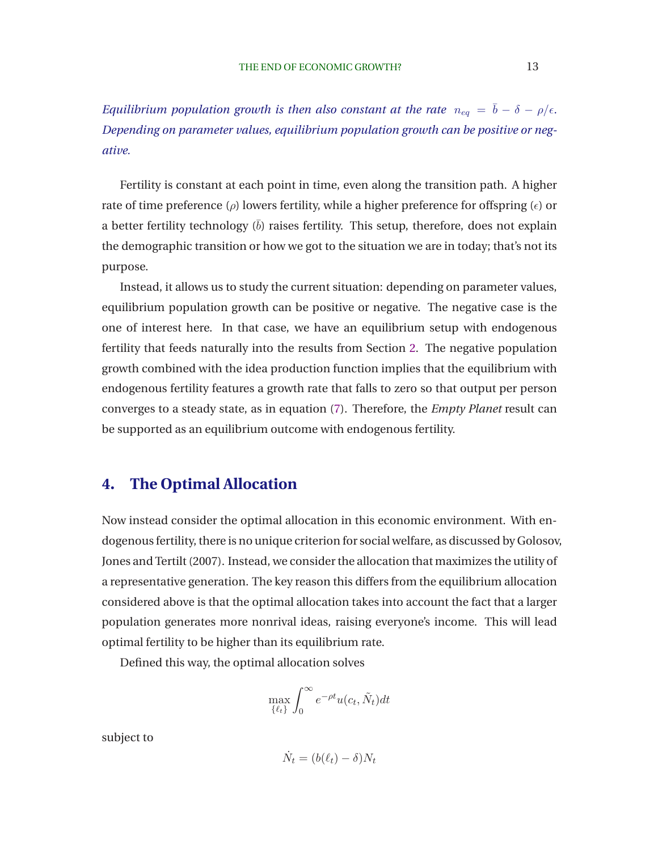<span id="page-14-0"></span>*Equilibrium population growth is then also constant at the rate*  $n_{eq} = \bar{b} - \delta - \rho/\epsilon$ *. Depending on parameter values, equilibrium population growth can be positive or negative.*

Fertility is constant at each point in time, even along the transition path. A higher rate of time preference ( $\rho$ ) lowers fertility, while a higher preference for offspring ( $\epsilon$ ) or a better fertility technology  $(b)$  raises fertility. This setup, therefore, does not explain the demographic transition or how we got to the situation we are in today; that's not its purpose.

Instead, it allows us to study the current situation: depending on parameter values, equilibrium population growth can be positive or negative. The negative case is the one of interest here. In that case, we have an equilibrium setup with endogenous fertility that feeds naturally into the results from Section [2.](#page-6-0) The negative population growth combined with the idea production function implies that the equilibrium with endogenous fertility features a growth rate that falls to zero so that output per person converges to a steady state, as in equation [\(7\)](#page-9-0). Therefore, the *Empty Planet* result can be supported as an equilibrium outcome with endogenous fertility.

# **4. The Optimal Allocation**

Now instead consider the optimal allocation in this economic environment. With endogenous fertili[ty, there is no unique criterion for social welfare, as discussed by](#page-33-0) Golosov, Jones and Tertilt [\(2007](#page-33-0)). Instead, we consider the allocation that maximizes the utility of a representative generation. The key reason this differs from the equilibrium allocation considered above is that the optimal allocation takes into account the fact that a larger population generates more nonrival ideas, raising everyone's income. This will lead optimal fertility to be higher than its equilibrium rate.

Defined this way, the optimal allocation solves

$$
\max_{\{\ell_t\}} \int_0^\infty e^{-\rho t} u(c_t, \tilde{N}_t) dt
$$

subject to

$$
\dot{N}_t = (b(\ell_t) - \delta)N_t
$$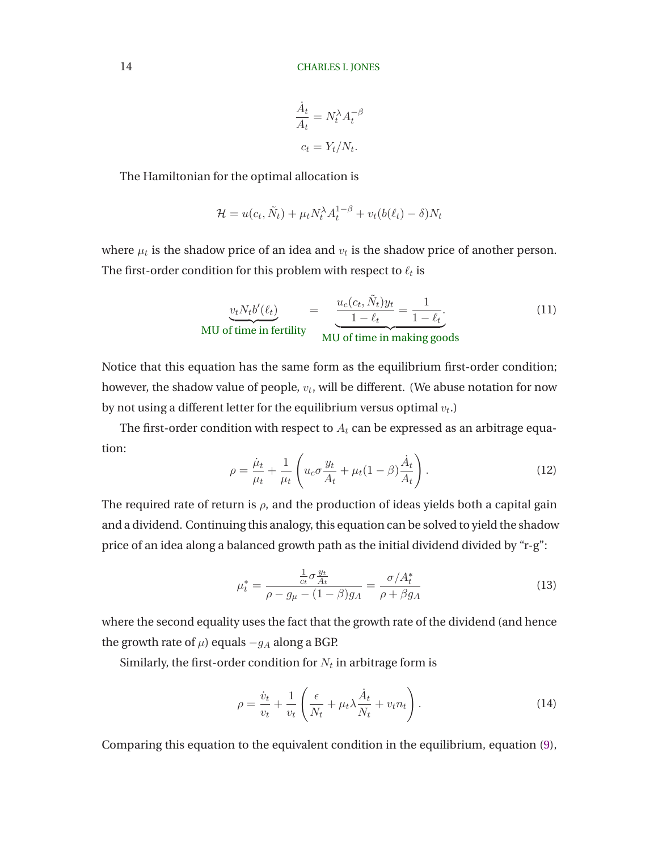$$
\frac{\dot{A}_t}{A_t} = N_t^{\lambda} A_t^{-\beta}
$$

$$
c_t = Y_t / N_t.
$$

<span id="page-15-0"></span>The Hamiltonian for the optimal allocation is

$$
\mathcal{H} = u(c_t, \tilde{N}_t) + \mu_t N_t^{\lambda} A_t^{1-\beta} + v_t (b(\ell_t) - \delta) N_t
$$

where  $\mu_t$  is the shadow price of an idea and  $v_t$  is the shadow price of another person. The first-order condition for this problem with respect to  $\ell_t$  is

$$
\underbrace{v_t N_t b'(\ell_t)}_{\text{MU of time in fertility}} = \underbrace{\frac{u_c(c_t, \tilde{N}_t)y_t}{1 - \ell_t}}_{\text{MU of time in making goods}} = \frac{1}{1 - \ell_t}.
$$
\n(11)

Notice that this equation has the same form as the equilibrium first-order condition; however, the shadow value of people,  $v_t$ , will be different. (We abuse notation for now by not using a different letter for the equilibrium versus optimal  $v_t$ .)

The first-order condition with respect to  $A_t$  can be expressed as an arbitrage equation:

$$
\rho = \frac{\dot{\mu}_t}{\mu_t} + \frac{1}{\mu_t} \left( u_c \sigma \frac{y_t}{A_t} + \mu_t (1 - \beta) \frac{\dot{A}_t}{A_t} \right). \tag{12}
$$

The required rate of return is  $\rho$ , and the production of ideas yields both a capital gain and a dividend. Continuing this analogy, this equation can be solved to yield the shadow price of an idea along a balanced growth path as the initial dividend divided by "r-g":

$$
\mu_t^* = \frac{\frac{1}{c_t} \sigma \frac{y_t}{A_t}}{\rho - g_\mu - (1 - \beta) g_A} = \frac{\sigma / A_t^*}{\rho + \beta g_A} \tag{13}
$$

where the second equality uses the fact that the growth rate of the dividend (and hence the growth rate of  $\mu$ ) equals  $-g_A$  along a BGP.

Similarly, the first-order condition for  $N_t$  in arbitrage form is

$$
\rho = \frac{\dot{v}_t}{v_t} + \frac{1}{v_t} \left( \frac{\epsilon}{N_t} + \mu_t \lambda \frac{\dot{A}_t}{N_t} + v_t n_t \right). \tag{14}
$$

Comparing this equation to the equivalent condition in the equilibrium, equation [\(9\)](#page-13-0),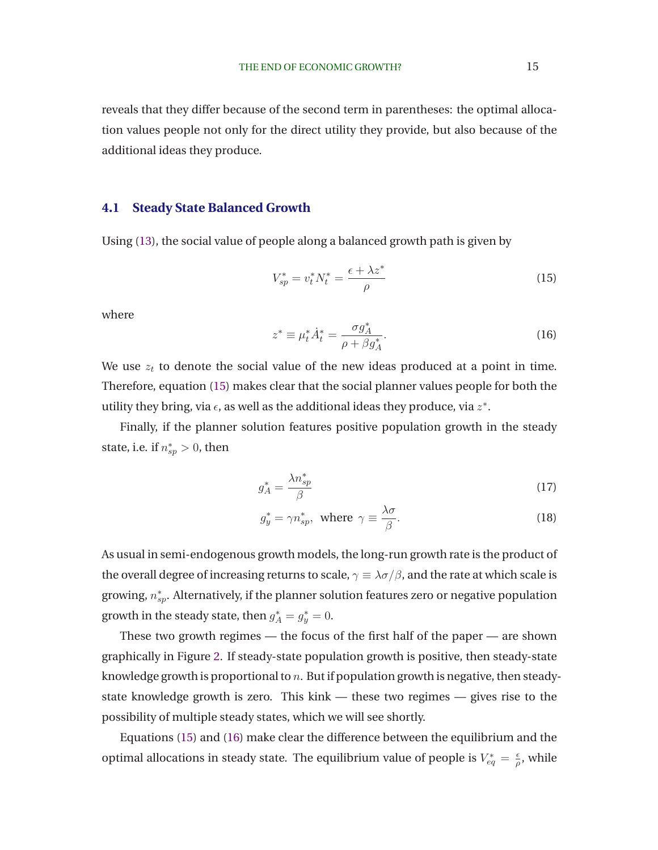<span id="page-16-0"></span>reveals that they differ because of the second term in parentheses: the optimal allocation values people not only for the direct utility they provide, but also because of the additional ideas they produce.

### **4.1 Steady State Balanced Growth**

Using [\(13\)](#page-15-0), the social value of people along a balanced growth path is given by

$$
V_{sp}^* = v_t^* N_t^* = \frac{\epsilon + \lambda z^*}{\rho} \tag{15}
$$

where

$$
z^* \equiv \mu_t^* \dot{A}_t^* = \frac{\sigma g_A^*}{\rho + \beta g_A^*}.
$$
 (16)

We use  $z_t$  to denote the social value of the new ideas produced at a point in time. Therefore, equation (15) makes clear that the social planner values people for both the utility they bring, via  $\epsilon$ , as well as the additional ideas they produce, via  $z^*$ .

Finally, if the planner solution features positive population growth in the steady state, i.e. if  $n_{sp}^* > 0$ , then

$$
g_A^* = \frac{\lambda n_{sp}^*}{\beta} \tag{17}
$$

$$
g_y^* = \gamma n_{sp}^*, \text{ where } \gamma \equiv \frac{\lambda \sigma}{\beta}.
$$
 (18)

As usual in semi-endogenous growth models, the long-run growth rate is the product of the overall degree of increasing returns to scale,  $\gamma \equiv \lambda \sigma/\beta$ , and the rate at which scale is growing,  $n_{sp}^*$ . Alternatively, if the planner solution features zero or negative population growth in the steady state, then  $g_A^* = g_y^* = 0$ .

These two growth regimes — the focus of the first half of the paper — are shown graphically in Figure [2.](#page-17-0) If steady-state population growth is positive, then steady-state knowledge growth is proportional to  $n$ . But if population growth is negative, then steadystate knowledge growth is zero. This kink — these two regimes — gives rise to the possibility of multiple steady states, which we will see shortly.

Equations (15) and (16) make clear the difference between the equilibrium and the optimal allocations in steady state. The equilibrium value of people is  $V_{eq}^* = \frac{\epsilon}{\rho}$  $\frac{\epsilon}{\rho}$ , while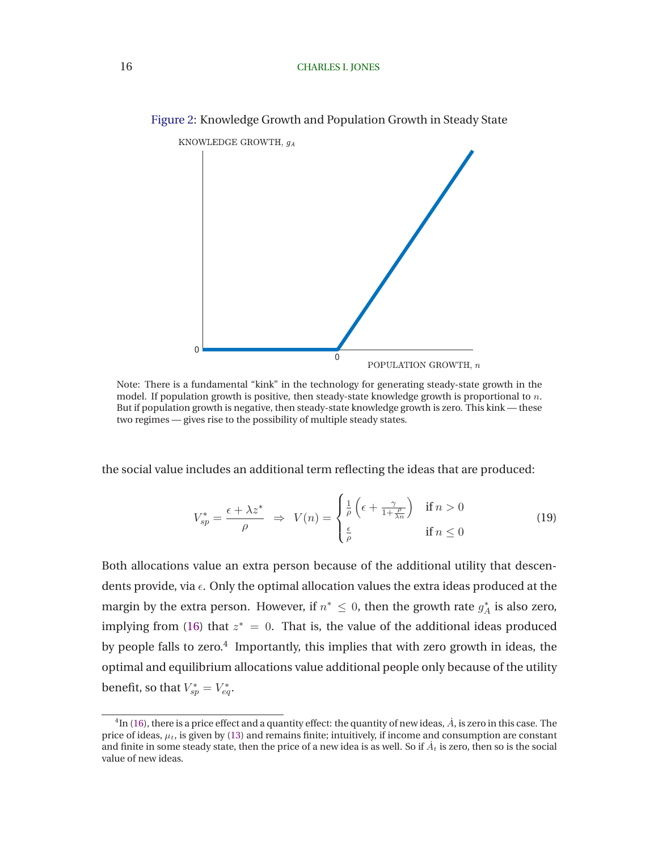

<span id="page-17-0"></span>Figure 2: Knowledge Growth and Population Growth in Steady State

Note: There is a fundamental "kink" in the technology for generating steady-state growth in the model. If population growth is positive, then steady-state knowledge growth is proportional to  $n$ . But if population growth is negative, then steady-state knowledge growth is zero. This kink — these two regimes — gives rise to the possibility of multiple steady states.

the social value includes an additional term reflecting the ideas that are produced:

$$
V_{sp}^{*} = \frac{\epsilon + \lambda z^{*}}{\rho} \Rightarrow V(n) = \begin{cases} \frac{1}{\rho} \left( \epsilon + \frac{\gamma}{1 + \frac{\rho}{\lambda n}} \right) & \text{if } n > 0\\ \frac{\epsilon}{\rho} & \text{if } n \le 0 \end{cases}
$$
(19)

Both allocations value an extra person because of the additional utility that descendents provide, via  $\epsilon$ . Only the optimal allocation values the extra ideas produced at the margin by the extra person. However, if  $n^* \leq 0$ , then the growth rate  $g_A^*$  is also zero, implying from [\(16\)](#page-16-0) that  $z^* = 0$ . That is, the value of the additional ideas produced by people falls to zero. $4$  Importantly, this implies that with zero growth in ideas, the optimal and equilibrium allocations value additional people only because of the utility benefit, so that  $V_{sp}^* = V_{eq}^*$ .

 $^4$ In [\(16\)](#page-16-0), there is a price effect and a quantity effect: the quantity of new ideas,  $\dot{A}$ , is zero in this case. The price of ideas,  $\mu_t$ , is given by [\(13\)](#page-15-0) and remains finite; intuitively, if income and consumption are constant and finite in some steady state, then the price of a new idea is as well. So if  $\dot{A}_t$  is zero, then so is the social value of new ideas.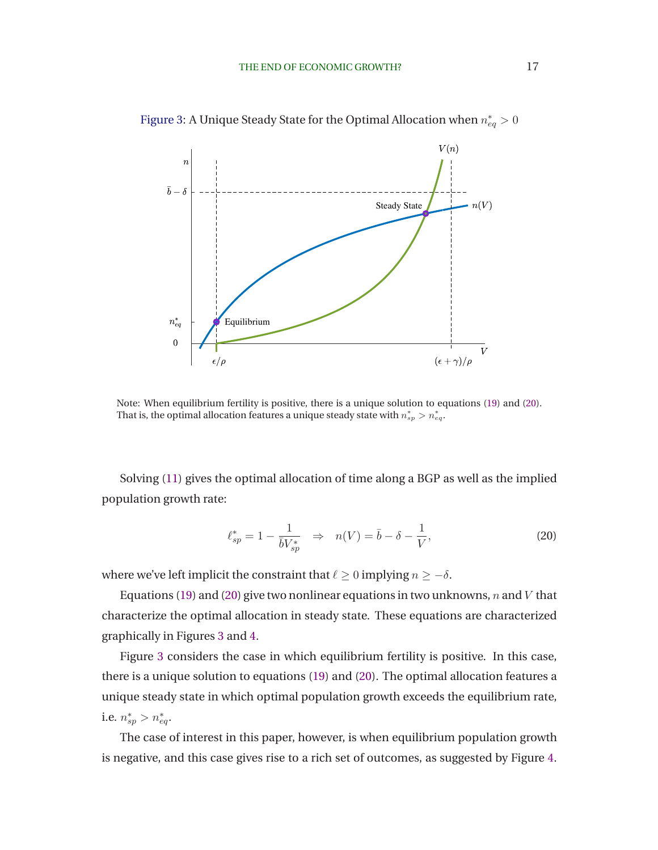

<span id="page-18-0"></span>Figure 3: A Unique Steady State for the Optimal Allocation when  $n_{eq}^{\ast}>0$ 

Note: When equilibrium fertility is positive, there is a unique solution to equations [\(19\)](#page-17-0) and (20). That is, the optimal allocation features a unique steady state with  $n^{*}_{sp} > n^{*}_{eq}.$ 

Solving [\(11\)](#page-15-0) gives the optimal allocation of time along a BGP as well as the implied population growth rate:

$$
\ell_{sp}^* = 1 - \frac{1}{\bar{b}V_{sp}^*} \Rightarrow n(V) = \bar{b} - \delta - \frac{1}{V},
$$
\n(20)

where we've left implicit the constraint that  $\ell \geq 0$  implying  $n \geq -\delta$ .

Equations [\(19\)](#page-17-0) and (20) give two nonlinear equations in two unknowns, n and V that characterize the optimal allocation in steady state. These equations are characterized graphically in Figures 3 and [4.](#page-19-0)

Figure 3 considers the case in which equilibrium fertility is positive. In this case, there is a unique solution to equations [\(19\)](#page-17-0) and (20). The optimal allocation features a unique steady state in which optimal population growth exceeds the equilibrium rate, i.e.  $n_{sp}^* > n_{eq}^*$ .

The case of interest in this paper, however, is when equilibrium population growth is negative, and this case gives rise to a rich set of outcomes, as suggested by Figure [4.](#page-19-0)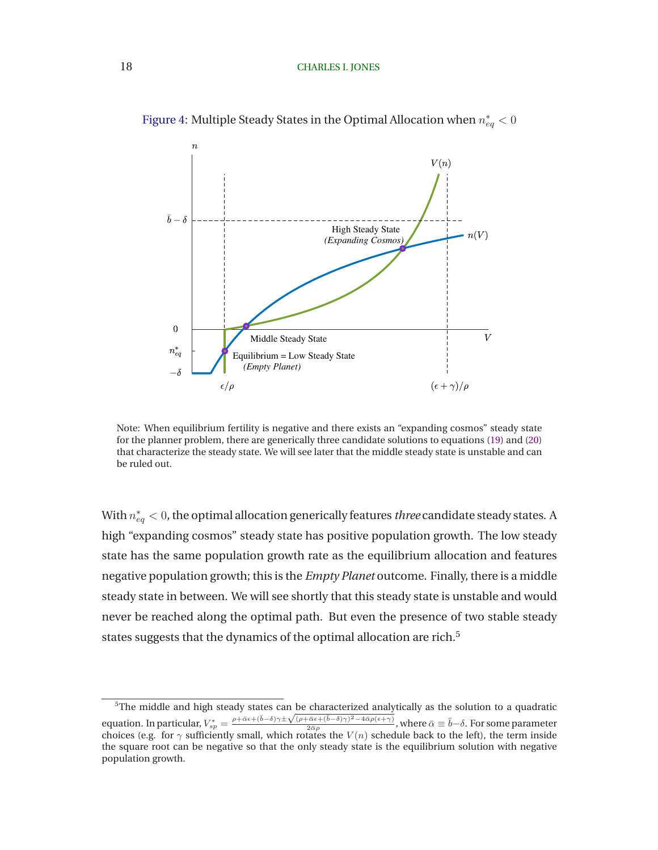

<span id="page-19-0"></span>Figure 4: Multiple Steady States in the Optimal Allocation when  $n_{eq}^* < 0$ 

Note: When equilibrium fertility is negative and there exists an "expanding cosmos" steady state for the planner problem, there are generically three candidate solutions to equations [\(19\)](#page-17-0) and [\(20\)](#page-18-0) that characterize the steady state. We will see later that the middle steady state is unstable and can be ruled out.

With  $n_{eq}^* < 0$ , the optimal allocation generically features *three* candidate steady states. A high "expanding cosmos" steady state has positive population growth. The low steady state has the same population growth rate as the equilibrium allocation and features negative population growth; this is the *Empty Planet* outcome. Finally, there is a middle steady state in between. We will see shortly that this steady state is unstable and would never be reached along the optimal path. But even the presence of two stable steady states suggests that the dynamics of the optimal allocation are rich.<sup>5</sup>

<sup>&</sup>lt;sup>5</sup>The middle and high steady states can be characterized analytically as the solution to a quadratic equation. In particular,  $V_{sp}^* = \frac{\rho + \bar{\alpha}\epsilon + (\bar{b}-\delta)\gamma \pm \sqrt{(\rho + \bar{\alpha}\epsilon + (\bar{b}-\delta)\gamma)^2 - 4\bar{\alpha}\rho(\epsilon + \gamma)}}{2\bar{\alpha}\rho}$ equation. In particular,  $V_{sp}^* = \frac{\rho + \bar{\alpha}\epsilon + (b-\delta)\gamma \pm \sqrt{(\rho + \bar{\alpha}\epsilon + (b-\delta)\gamma)^2 - 4\bar{\alpha}\rho(\epsilon + \gamma)}}{2\bar{\alpha}\rho}$ , where  $\bar{\alpha} \equiv \bar{b}-\delta$ . For some parameter choices (e.g. for  $\gamma$  sufficiently small, which rotates the  $V(n)$  schedule b the square root can be negative so that the only steady state is the equilibrium solution with negative population growth.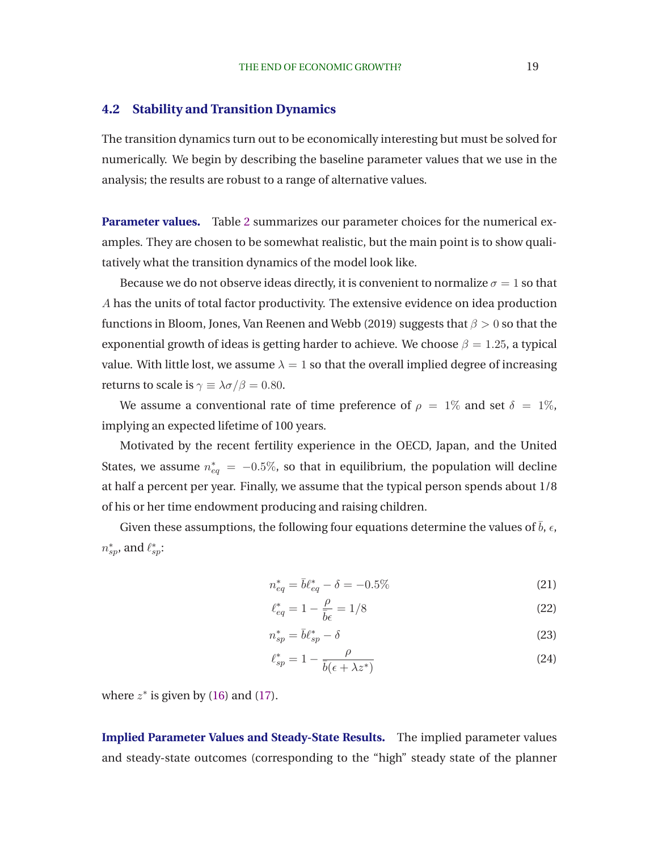### <span id="page-20-0"></span>**4.2 Stability and Transition Dynamics**

The transition dynamics turn out to be economically interesting but must be solved for numerically. We begin by describing the baseline parameter values that we use in the analysis; the results are robust to a range of alternative values.

**Parameter values.** Table [2](#page-21-0) summarizes our parameter choices for the numerical examples. They are chosen to be somewhat realistic, but the main point is to show qualitatively what the transition dynamics of the model look like.

Because we do not observe ideas directly, it is convenient to normalize  $\sigma = 1$  so that A has the units of total factor productivity. The extensive evidence on idea production functions in [Bloom, Jones, Van Reenen and Webb \(2019](#page-32-0)) suggests that  $\beta > 0$  so that the exponential growth of ideas is getting harder to achieve. We choose  $\beta = 1.25$ , a typical value. With little lost, we assume  $\lambda = 1$  so that the overall implied degree of increasing returns to scale is  $\gamma \equiv \lambda \sigma / \beta = 0.80$ .

We assume a conventional rate of time preference of  $\rho = 1\%$  and set  $\delta = 1\%$ , implying an expected lifetime of 100 years.

Motivated by the recent fertility experience in the OECD, Japan, and the United States, we assume  $n_{eq}^* = -0.5\%$ , so that in equilibrium, the population will decline at half a percent per year. Finally, we assume that the typical person spends about 1/8 of his or her time endowment producing and raising children.

Given these assumptions, the following four equations determine the values of  $\bar{b}$ ,  $\epsilon$ ,  $n_{sp}^*$ , and  $\ell_{sp}^*$ :

$$
n_{eq}^* = \bar{b}\ell_{eq}^* - \delta = -0.5\% \tag{21}
$$

$$
\ell_{eq}^* = 1 - \frac{\rho}{\bar{b}\epsilon} = 1/8\tag{22}
$$

$$
n_{sp}^* = \bar{b}\ell_{sp}^* - \delta \tag{23}
$$

$$
\ell_{sp}^* = 1 - \frac{\rho}{\bar{b}(\epsilon + \lambda z^*)} \tag{24}
$$

where  $z^*$  is given by [\(16\)](#page-16-0) and [\(17\)](#page-16-0).

**Implied Parameter Values and Steady-State Results.** The implied parameter values and steady-state outcomes (corresponding to the "high" steady state of the planner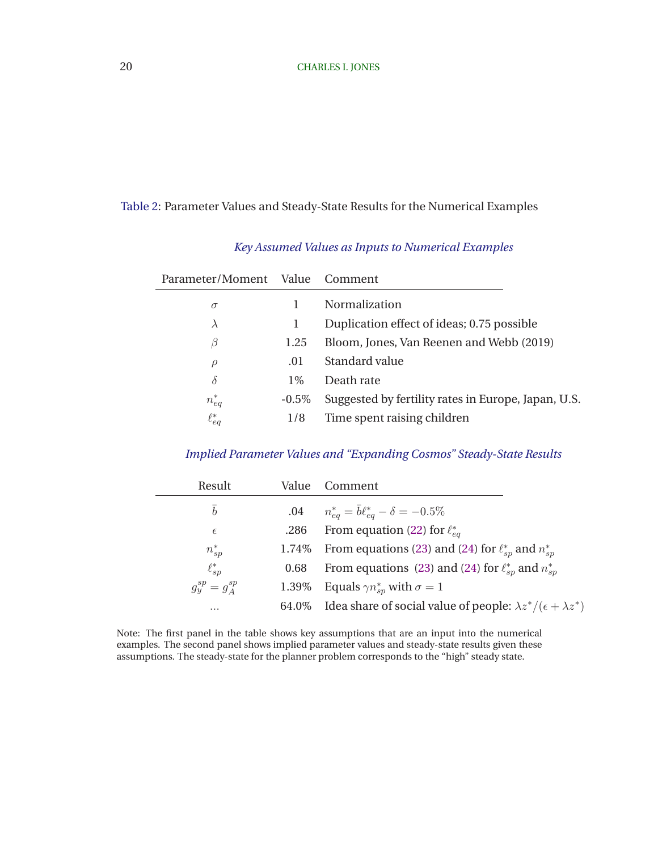### <span id="page-21-0"></span>Table 2: Parameter Values and Steady-State Results for the Numerical Examples

| Parameter/Moment Value Comment |          |                                                     |
|--------------------------------|----------|-----------------------------------------------------|
| $\sigma$                       |          | Normalization                                       |
| $\lambda$                      |          | Duplication effect of ideas; 0.75 possible          |
| B                              | 1.25     | Bloom, Jones, Van Reenen and Webb (2019)            |
| $\rho$                         | .01      | Standard value                                      |
| $\delta$                       | $1\%$    | Death rate                                          |
| $n_{eq}^*$                     | $-0.5\%$ | Suggested by fertility rates in Europe, Japan, U.S. |
| $\ell_{eq}^*$                  | 1/8      | Time spent raising children                         |
|                                |          |                                                     |

### *Key Assumed Values as Inputs to Numerical Examples*

### *Implied Parameter Values and "Expanding Cosmos" Steady-State Results*

| Result                |         | Value Comment                                                                      |
|-----------------------|---------|------------------------------------------------------------------------------------|
| $\bar{b}$             | $.04\,$ | $n_{eq}^* = \bar{b}\ell_{eq}^* - \delta = -0.5\%$                                  |
| $\epsilon$            | .286    | From equation (22) for $\ell_{ea}^*$                                               |
| $n_{sp}^*$            |         | 1.74% From equations (23) and (24) for $\ell_{sp}^*$ and $n_{sp}^*$                |
| $\ell_{sp}^*$         | 0.68    | From equations (23) and (24) for $\ell_{sn}^*$ and $n_{sn}^*$                      |
| $q_u^{sp} = q_A^{sp}$ |         | 1.39% Equals $\gamma n_{sn}^*$ with $\sigma = 1$                                   |
| $\cdots$              |         | 64.0% Idea share of social value of people: $\lambda z^*/(\epsilon + \lambda z^*)$ |

Note: The first panel in the table shows key assumptions that are an input into the numerical examples. The second panel shows implied parameter values and steady-state results given these assumptions. The steady-state for the planner problem corresponds to the "high" steady state.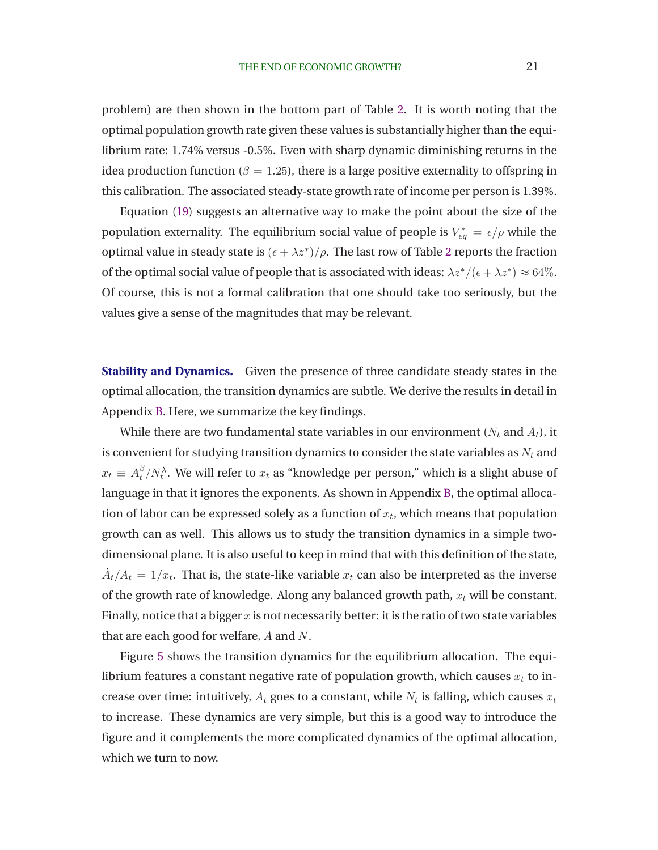problem) are then shown in the bottom part of Table [2.](#page-21-0) It is worth noting that the optimal population growth rate given these values is substantially higher than the equilibrium rate: 1.74% versus -0.5%. Even with sharp dynamic diminishing returns in the idea production function ( $\beta = 1.25$ ), there is a large positive externality to offspring in this calibration. The associated steady-state growth rate of income per person is 1.39%.

Equation [\(19\)](#page-17-0) suggests an alternative way to make the point about the size of the population externality. The equilibrium social value of people is  $V_{eq}^* = \epsilon/\rho$  while the optimal value in steady state is  $(\epsilon + \lambda z^*)/\rho$ . The last row of Table [2](#page-21-0) reports the fraction of the optimal social value of people that is associated with ideas:  $\lambda z^*/(\epsilon + \lambda z^*) \approx 64\%$ . Of course, this is not a formal calibration that one should take too seriously, but the values give a sense of the magnitudes that may be relevant.

**Stability and Dynamics.** Given the presence of three candidate steady states in the optimal allocation, the transition dynamics are subtle. We derive the results in detail in Appendix [B.](#page-37-0) Here, we summarize the key findings.

While there are two fundamental state variables in our environment ( $N_t$  and  $A_t$ ), it is convenient for studying transition dynamics to consider the state variables as  $N_t$  and  $x_t \equiv A_t^{\beta}$  $t^{\beta}/N_t^{\lambda}$ . We will refer to  $x_t$  as "knowledge per person," which is a slight abuse of language in that it ignores the exponents. As shown in Appendix [B,](#page-37-0) the optimal allocation of labor can be expressed solely as a function of  $x_t$ , which means that population growth can as well. This allows us to study the transition dynamics in a simple twodimensional plane. It is also useful to keep in mind that with this definition of the state,  $\dot{A}_t/A_t = 1/x_t$ . That is, the state-like variable  $x_t$  can also be interpreted as the inverse of the growth rate of knowledge. Along any balanced growth path,  $x_t$  will be constant. Finally, notice that a bigger  $x$  is not necessarily better: it is the ratio of two state variables that are each good for welfare, A and N.

Figure [5](#page-23-0) shows the transition dynamics for the equilibrium allocation. The equilibrium features a constant negative rate of population growth, which causes  $x_t$  to increase over time: intuitively,  $A_t$  goes to a constant, while  $N_t$  is falling, which causes  $x_t$ to increase. These dynamics are very simple, but this is a good way to introduce the figure and it complements the more complicated dynamics of the optimal allocation, which we turn to now.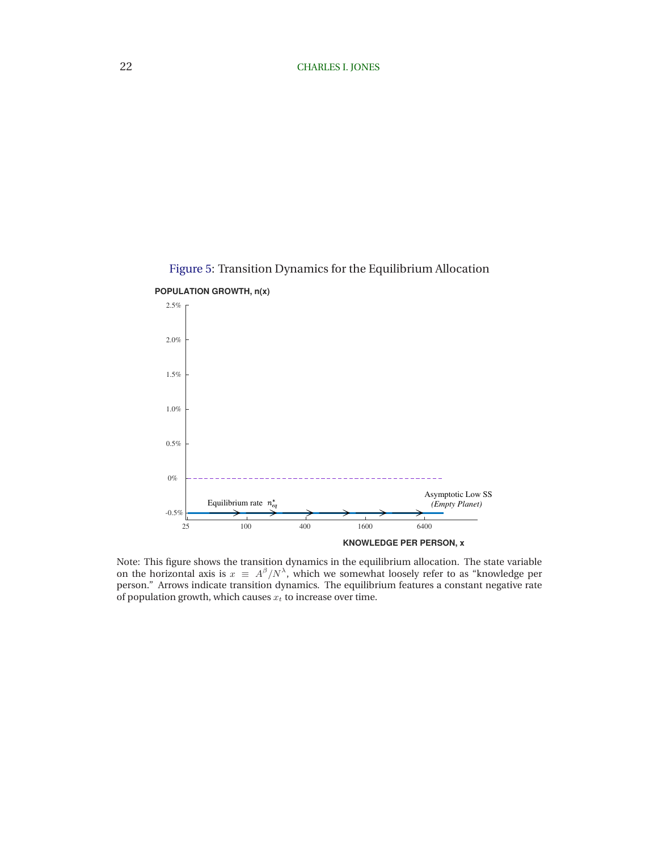<span id="page-23-0"></span>



Note: This figure shows the transition dynamics in the equilibrium allocation. The state variable on the horizontal axis is  $x \equiv A^{\beta}/N^{\lambda}$ , which we somewhat loosely refer to as "knowledge per person." Arrows indicate transition dynamics. The equilibrium features a constant negative rate

of population growth, which causes  $x_t$  to increase over time.

**POPULATION GROWTH, n(x)**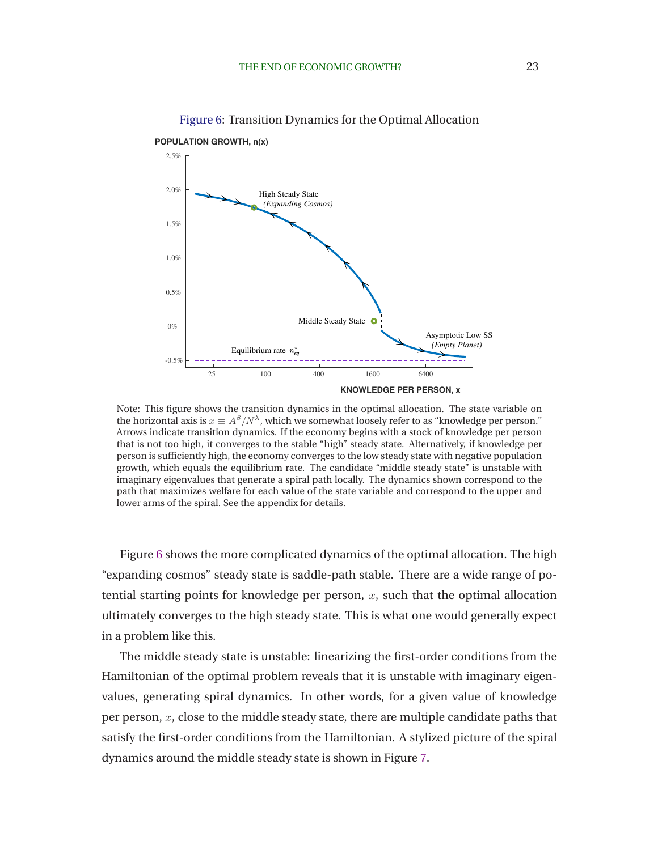**POPULATION GROWTH, n(x)**



<span id="page-24-0"></span>

Note: This figure shows the transition dynamics in the optimal allocation. The state variable on the horizontal axis is  $x \equiv A^{\beta}/N^{\lambda}$ , which we somewhat loosely refer to as "knowledge per person." Arrows indicate transition dynamics. If the economy begins with a stock of knowledge per person that is not too high, it converges to the stable "high" steady state. Alternatively, if knowledge per person is sufficiently high, the economy converges to the low steady state with negative population growth, which equals the equilibrium rate. The candidate "middle steady state" is unstable with imaginary eigenvalues that generate a spiral path locally. The dynamics shown correspond to the path that maximizes welfare for each value of the state variable and correspond to the upper and lower arms of the spiral. See the appendix for details.

Figure 6 shows the more complicated dynamics of the optimal allocation. The high "expanding cosmos" steady state is saddle-path stable. There are a wide range of potential starting points for knowledge per person,  $x$ , such that the optimal allocation ultimately converges to the high steady state. This is what one would generally expect in a problem like this.

The middle steady state is unstable: linearizing the first-order conditions from the Hamiltonian of the optimal problem reveals that it is unstable with imaginary eigenvalues, generating spiral dynamics. In other words, for a given value of knowledge per person,  $x$ , close to the middle steady state, there are multiple candidate paths that satisfy the first-order conditions from the Hamiltonian. A stylized picture of the spiral dynamics around the middle steady state is shown in Figure [7.](#page-25-0)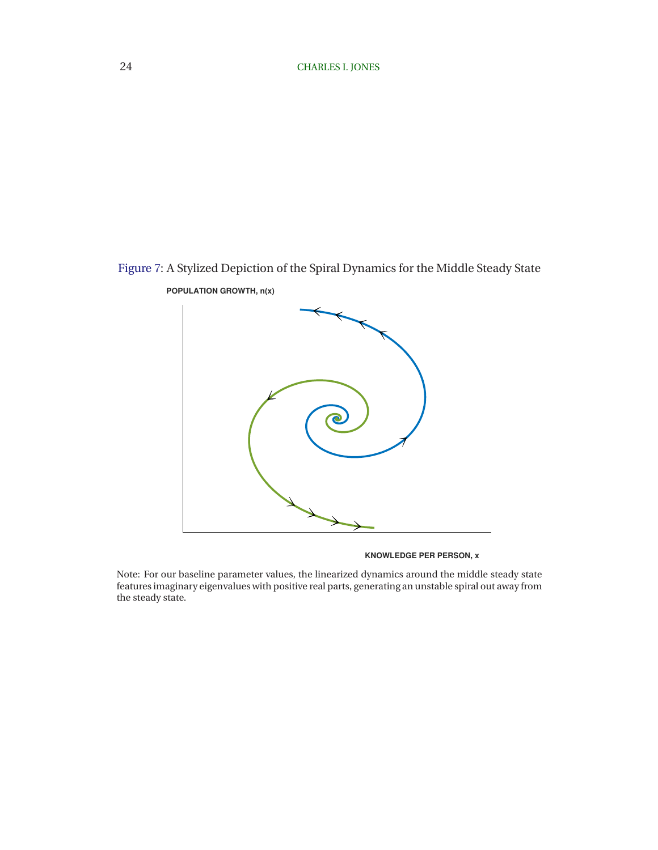# <span id="page-25-0"></span>Figure 7: A Stylized Depiction of the Spiral Dynamics for the Middle Steady State



**POPULATION GROWTH, n(x)**

**KNOWLEDGE PER PERSON, x**

Note: For our baseline parameter values, the linearized dynamics around the middle steady state features imaginary eigenvalues with positive real parts, generating an unstable spiral out away from the steady state.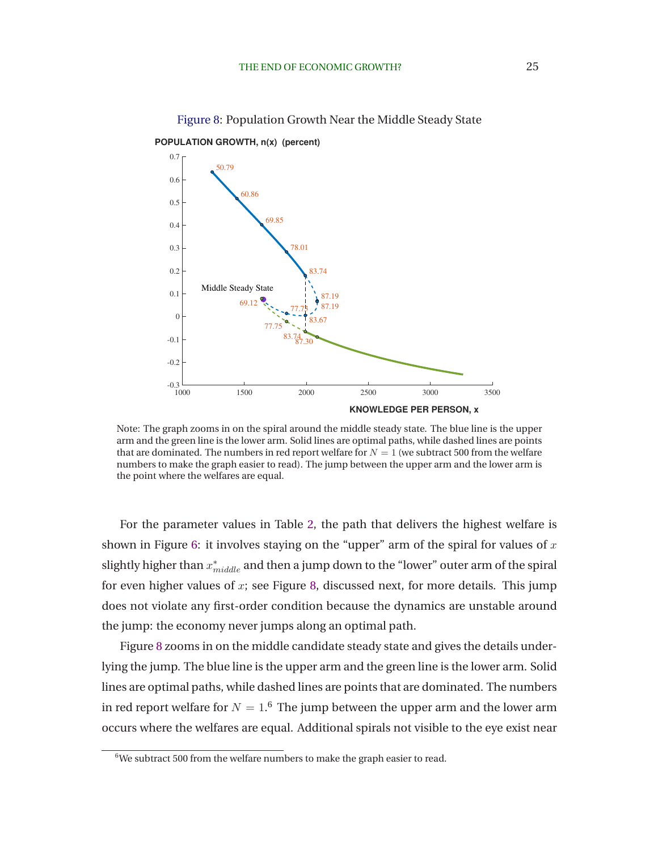

Figure 8: Population Growth Near the Middle Steady State

<span id="page-26-0"></span>**POPULATION GROWTH, n(x) (percent)**

Note: The graph zooms in on the spiral around the middle steady state. The blue line is the upper arm and the green line is the lower arm. Solid lines are optimal paths, while dashed lines are points that are dominated. The numbers in red report welfare for  $N = 1$  (we subtract 500 from the welfare numbers to make the graph easier to read). The jump between the upper arm and the lower arm is the point where the welfares are equal.

For the parameter values in Table [2,](#page-21-0) the path that delivers the highest welfare is shown in Figure [6:](#page-24-0) it involves staying on the "upper" arm of the spiral for values of  $x$ slightly higher than  $x^{*}_{middle}$  and then a jump down to the "lower" outer arm of the spiral for even higher values of  $x$ ; see Figure 8, discussed next, for more details. This jump does not violate any first-order condition because the dynamics are unstable around the jump: the economy never jumps along an optimal path.

Figure 8 zooms in on the middle candidate steady state and gives the details underlying the jump. The blue line is the upper arm and the green line is the lower arm. Solid lines are optimal paths, while dashed lines are points that are dominated. The numbers in red report welfare for  $N=1.6$  The jump between the upper arm and the lower arm occurs where the welfares are equal. Additional spirals not visible to the eye exist near

 $6$ We subtract 500 from the welfare numbers to make the graph easier to read.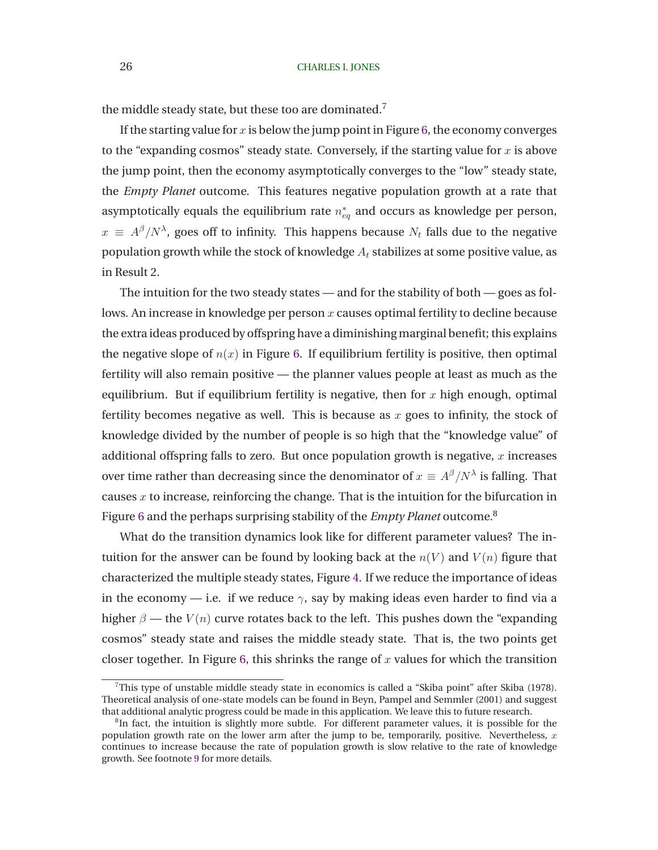the middle steady state, but these too are dominated.<sup>7</sup>

If the starting value for  $x$  is below the jump point in Figure [6,](#page-24-0) the economy converges to the "expanding cosmos" steady state. Conversely, if the starting value for  $x$  is above the jump point, then the economy asymptotically converges to the "low" steady state, the *Empty Planet* outcome. This features negative population growth at a rate that asymptotically equals the equilibrium rate  $n_{eq}^*$  and occurs as knowledge per person,  $x \, \equiv \, A^\beta/N^\lambda$ , goes off to infinity. This happens because  $N_t$  falls due to the negative population growth while the stock of knowledge  $A_t$  stabilizes at some positive value, as in Result 2.

The intuition for the two steady states — and for the stability of both — goes as follows. An increase in knowledge per person  $x$  causes optimal fertility to decline because the extra ideas produced by offspring have a diminishing marginal benefit; this explains the negative slope of  $n(x)$  in Figure [6.](#page-24-0) If equilibrium fertility is positive, then optimal fertility will also remain positive — the planner values people at least as much as the equilibrium. But if equilibrium fertility is negative, then for  $x$  high enough, optimal fertility becomes negative as well. This is because as  $x$  goes to infinity, the stock of knowledge divided by the number of people is so high that the "knowledge value" of additional offspring falls to zero. But once population growth is negative,  $x$  increases over time rather than decreasing since the denominator of  $x \equiv A^{\beta}/N^{\lambda}$  is falling. That causes x to increase, reinforcing the change. That is the intuition for the bifurcation in Figure [6](#page-24-0) and the perhaps surprising stability of the *Empty Planet* outcome.<sup>8</sup>

What do the transition dynamics look like for different parameter values? The intuition for the answer can be found by looking back at the  $n(V)$  and  $V(n)$  figure that characterized the multiple steady states, Figure [4.](#page-19-0) If we reduce the importance of ideas in the economy — i.e. if we reduce  $\gamma$ , say by making ideas even harder to find via a higher  $\beta$  — the  $V(n)$  curve rotates back to the left. This pushes down the "expanding" cosmos" steady state and raises the middle steady state. That is, the two points get closer together. In Figure [6,](#page-24-0) this shrinks the range of  $x$  values for which the transition

 $7$ This type of unstable middle steady state in economics is called a "Skiba point" after [Skiba](#page-34-0) [\(1978\)](#page-34-0). Theoretical analysis of one-state models can be found in [Beyn, Pampel and Semmler](#page-32-0) [\(2001\)](#page-32-0) and suggest that additional analytic progress could be made in this application. We leave this to future research.

<sup>&</sup>lt;sup>8</sup>In fact, the intuition is slightly more subtle. For different parameter values, it is possible for the population growth rate on the lower arm after the jump to be, temporarily, positive. Nevertheless,  $x$ continues to increase because the rate of population growth is slow relative to the rate of knowledge growth. See footnote [9](#page-26-0) for more details.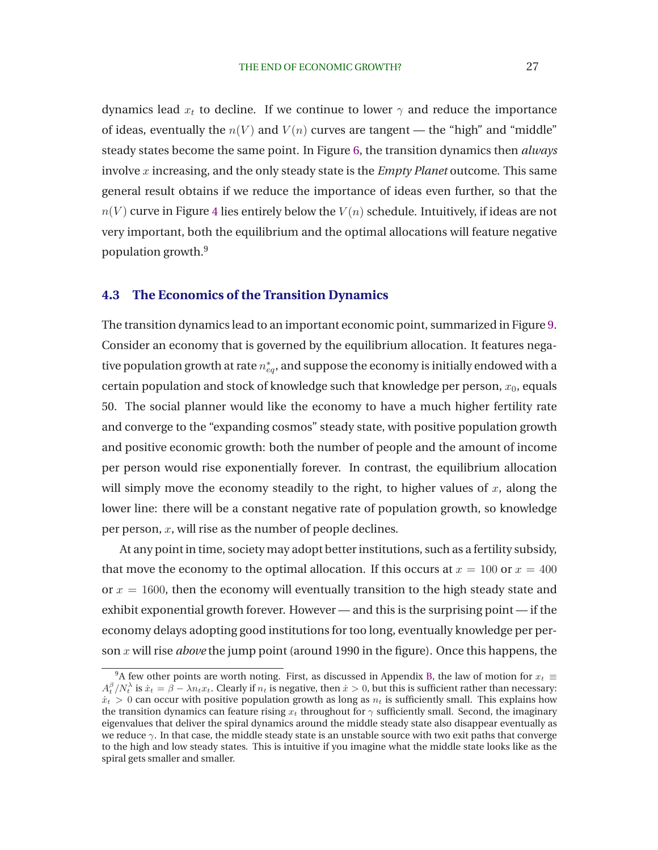dynamics lead  $x_t$  to decline. If we continue to lower  $\gamma$  and reduce the importance of ideas, eventually the  $n(V)$  and  $V(n)$  curves are tangent — the "high" and "middle" steady states become the same point. In Figure [6,](#page-24-0) the transition dynamics then *always* involve x increasing, and the only steady state is the *Empty Planet* outcome. This same general result obtains if we reduce the importance of ideas even further, so that the  $n(V)$  curve in Figure [4](#page-19-0) lies entirely below the  $V(n)$  schedule. Intuitively, if ideas are not very important, both the equilibrium and the optimal allocations will feature negative population growth.<sup>9</sup>

### **4.3 The Economics of the Transition Dynamics**

The transition dynamics lead to an important economic point, summarized in Figure [9.](#page-29-0) Consider an economy that is governed by the equilibrium allocation. It features negative population growth at rate  $n^{*}_{eq}$ , and suppose the economy is initially endowed with a certain population and stock of knowledge such that knowledge per person,  $x_0$ , equals 50. The social planner would like the economy to have a much higher fertility rate and converge to the "expanding cosmos" steady state, with positive population growth and positive economic growth: both the number of people and the amount of income per person would rise exponentially forever. In contrast, the equilibrium allocation will simply move the economy steadily to the right, to higher values of  $x$ , along the lower line: there will be a constant negative rate of population growth, so knowledge per person,  $x$ , will rise as the number of people declines.

At any point in time, society may adopt better institutions, such as a fertility subsidy, that move the economy to the optimal allocation. If this occurs at  $x = 100$  or  $x = 400$ or  $x = 1600$ , then the economy will eventually transition to the high steady state and exhibit exponential growth forever. However — and this is the surprising point — if the economy delays adopting good institutions for too long, eventually knowledge per person x will rise *above* the jump point (around 1990 in the figure). Once this happens, the

<sup>&</sup>lt;sup>9</sup>A few other points are worth noting. First, as discussed in Appendix [B,](#page-37-0) the law of motion for  $x_t \equiv$  $A_t^{\beta}/N_t^{\lambda}$  is  $\dot{x}_t = \beta - \lambda n_t x_t$ . Clearly if  $n_t$  is negative, then  $\dot{x} > 0$ , but this is sufficient rather than necessary:  $\dot{x}_t > 0$  can occur with positive population growth as long as  $n_t$  is sufficiently small. This explains how the transition dynamics can feature rising  $x_t$  throughout for  $\gamma$  sufficiently small. Second, the imaginary eigenvalues that deliver the spiral dynamics around the middle steady state also disappear eventually as we reduce  $\gamma$ . In that case, the middle steady state is an unstable source with two exit paths that converge to the high and low steady states. This is intuitive if you imagine what the middle state looks like as the spiral gets smaller and smaller.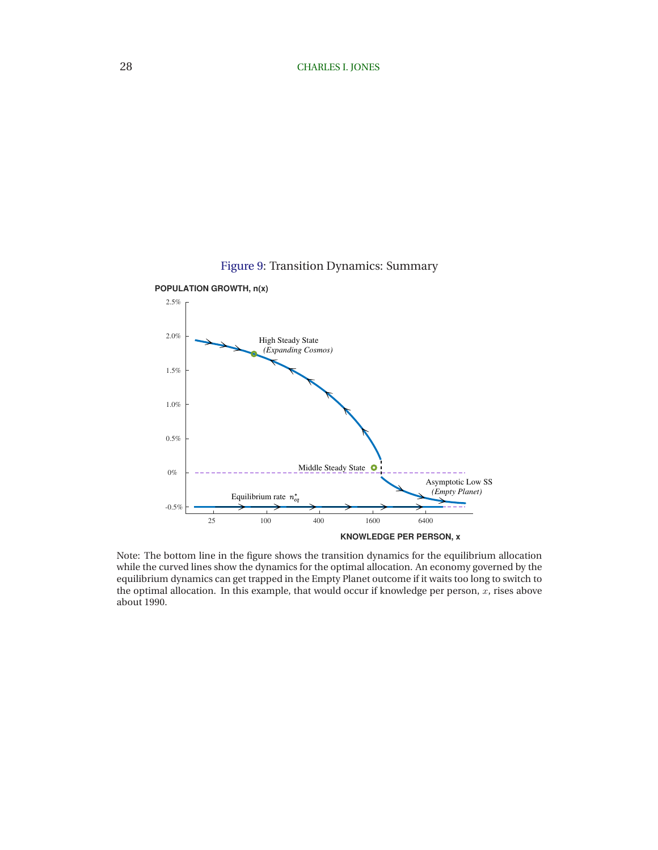

<span id="page-29-0"></span>

Note: The bottom line in the figure shows the transition dynamics for the equilibrium allocation while the curved lines show the dynamics for the optimal allocation. An economy governed by the equilibrium dynamics can get trapped in the Empty Planet outcome if it waits too long to switch to the optimal allocation. In this example, that would occur if knowledge per person,  $\tilde{x}$ , rises above about 1990.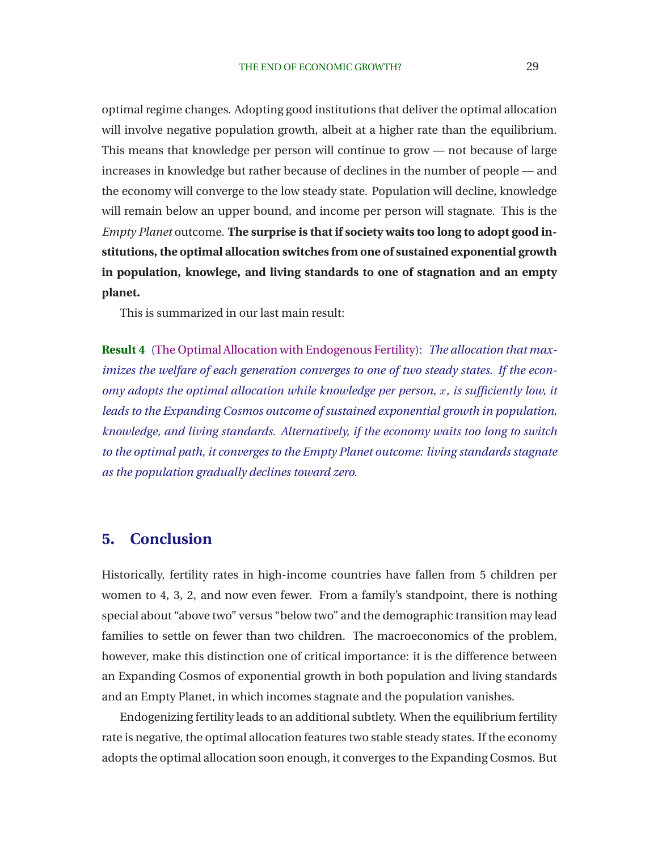<span id="page-30-0"></span>optimal regime changes. Adopting good institutions that deliver the optimal allocation will involve negative population growth, albeit at a higher rate than the equilibrium. This means that knowledge per person will continue to grow — not because of large increases in knowledge but rather because of declines in the number of people — and the economy will converge to the low steady state. Population will decline, knowledge will remain below an upper bound, and income per person will stagnate. This is the *Empty Planet* outcome. **The surprise is that if society waits too long to adopt good institutions, the optimal allocation switches from one of sustained exponential growth in population, knowlege, and living standards to one of stagnation and an empty planet.**

This is summarized in our last main result:

**Result 4** [\(The Optimal Allocation with Endogenous Fertility\)](#page-37-0): *The allocation that maximizes the welfare of each generation converges to one of two steady states. If the economy adopts the optimal allocation while knowledge per person, x, is sufficiently low, it leads to the Expanding Cosmos outcome of sustained exponential growth in population, knowledge, and living standards. Alternatively, if the economy waits too long to switch to the optimal path, it converges to the Empty Planet outcome: living standards stagnate as the population gradually declines toward zero.*

# **5. Conclusion**

Historically, fertility rates in high-income countries have fallen from 5 children per women to 4, 3, 2, and now even fewer. From a family's standpoint, there is nothing special about "above two" versus "below two" and the demographic transition may lead families to settle on fewer than two children. The macroeconomics of the problem, however, make this distinction one of critical importance: it is the difference between an Expanding Cosmos of exponential growth in both population and living standards and an Empty Planet, in which incomes stagnate and the population vanishes.

Endogenizing fertility leads to an additional subtlety. When the equilibrium fertility rate is negative, the optimal allocation features two stable steady states. If the economy adopts the optimal allocation soon enough, it converges to the Expanding Cosmos. But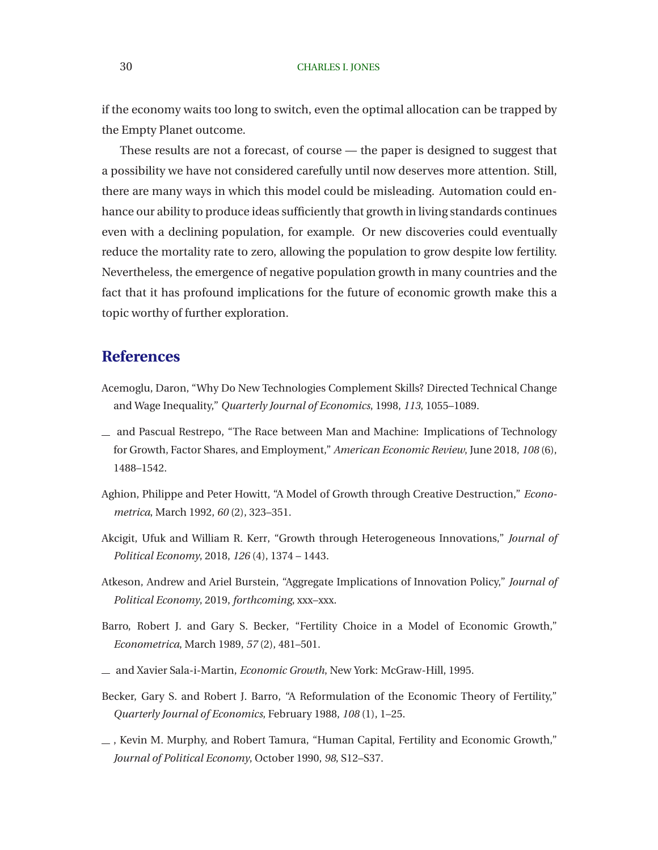#### <span id="page-31-0"></span>30 CHARLES I. JONES

if the economy waits too long to switch, even the optimal allocation can be trapped by the Empty Planet outcome.

These results are not a forecast, of course — the paper is designed to suggest that a possibility we have not considered carefully until now deserves more attention. Still, there are many ways in which this model could be misleading. Automation could enhance our ability to produce ideas sufficiently that growth in living standards continues even with a declining population, for example. Or new discoveries could eventually reduce the mortality rate to zero, allowing the population to grow despite low fertility. Nevertheless, the emergence of negative population growth in many countries and the fact that it has profound implications for the future of economic growth make this a topic worthy of further exploration.

# **References**

- Acemoglu, Daron, "Why Do New Technologies Complement Skills? Directed Technical Change and Wage Inequality," *Quarterly Journal of Economics*, 1998, *113*, 1055–1089.
- and Pascual Restrepo, "The Race between Man and Machine: Implications of Technology for Growth, Factor Shares, and Employment," *American Economic Review*, June 2018, *108* (6), 1488–1542.
- Aghion, Philippe and Peter Howitt, "A Model of Growth through Creative Destruction," *Econometrica*, March 1992, *60* (2), 323–351.
- Akcigit, Ufuk and William R. Kerr, "Growth through Heterogeneous Innovations," *Journal of Political Economy*, 2018, *126* (4), 1374 – 1443.
- Atkeson, Andrew and Ariel Burstein, "Aggregate Implications of Innovation Policy," *Journal of Political Economy*, 2019, *forthcoming*, xxx–xxx.
- Barro, Robert J. and Gary S. Becker, "Fertility Choice in a Model of Economic Growth," *Econometrica*, March 1989, *57* (2), 481–501.
- and Xavier Sala-i-Martin, *Economic Growth*, New York: McGraw-Hill, 1995.
- Becker, Gary S. and Robert J. Barro, "A Reformulation of the Economic Theory of Fertility," *Quarterly Journal of Economics*, February 1988, *108* (1), 1–25.
- , Kevin M. Murphy, and Robert Tamura, "Human Capital, Fertility and Economic Growth," *Journal of Political Economy*, October 1990, *98*, S12–S37.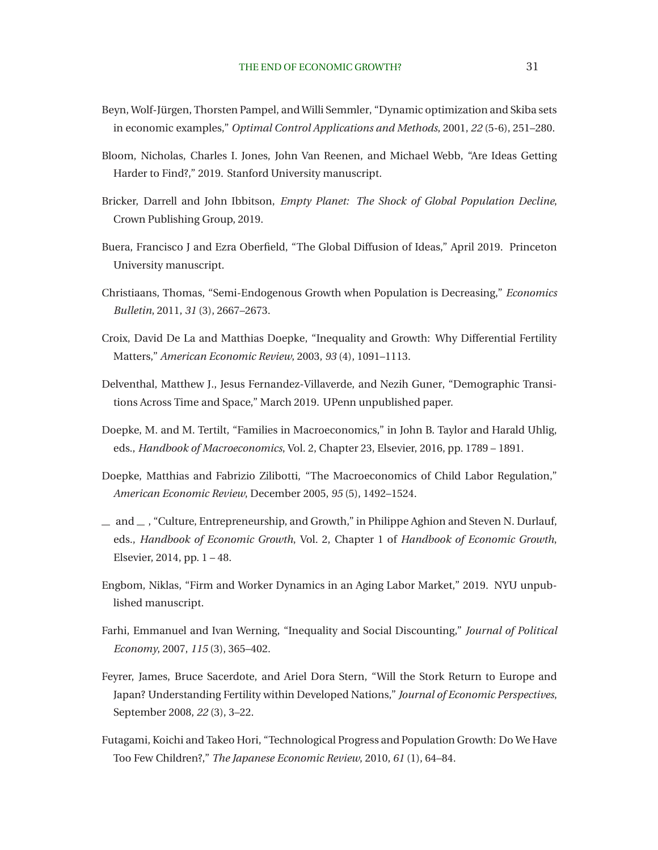- <span id="page-32-0"></span>Beyn, Wolf-Jürgen, Thorsten Pampel, and Willi Semmler, "Dynamic optimization and Skiba sets in economic examples," *Optimal Control Applications and Methods*, 2001, *22* (5-6), 251–280.
- Bloom, Nicholas, Charles I. Jones, John Van Reenen, and Michael Webb, "Are Ideas Getting Harder to Find?," 2019. Stanford University manuscript.
- Bricker, Darrell and John Ibbitson, *Empty Planet: The Shock of Global Population Decline*, Crown Publishing Group, 2019.
- Buera, Francisco J and Ezra Oberfield, "The Global Diffusion of Ideas," April 2019. Princeton University manuscript.
- Christiaans, Thomas, "Semi-Endogenous Growth when Population is Decreasing," *Economics Bulletin*, 2011, *31* (3), 2667–2673.
- Croix, David De La and Matthias Doepke, "Inequality and Growth: Why Differential Fertility Matters," *American Economic Review*, 2003, *93* (4), 1091–1113.
- Delventhal, Matthew J., Jesus Fernandez-Villaverde, and Nezih Guner, "Demographic Transitions Across Time and Space," March 2019. UPenn unpublished paper.
- Doepke, M. and M. Tertilt, "Families in Macroeconomics," in John B. Taylor and Harald Uhlig, eds., *Handbook of Macroeconomics*, Vol. 2, Chapter 23, Elsevier, 2016, pp. 1789 – 1891.
- Doepke, Matthias and Fabrizio Zilibotti, "The Macroeconomics of Child Labor Regulation," *American Economic Review*, December 2005, *95* (5), 1492–1524.
- $-$  and  $-$ , "Culture, Entrepreneurship, and Growth," in Philippe Aghion and Steven N. Durlauf, eds., *Handbook of Economic Growth*, Vol. 2, Chapter 1 of *Handbook of Economic Growth*, Elsevier, 2014, pp. 1 – 48.
- Engbom, Niklas, "Firm and Worker Dynamics in an Aging Labor Market," 2019. NYU unpublished manuscript.
- Farhi, Emmanuel and Ivan Werning, "Inequality and Social Discounting," *Journal of Political Economy*, 2007, *115* (3), 365–402.
- Feyrer, James, Bruce Sacerdote, and Ariel Dora Stern, "Will the Stork Return to Europe and Japan? Understanding Fertility within Developed Nations," *Journal of Economic Perspectives*, September 2008, *22* (3), 3–22.
- Futagami, Koichi and Takeo Hori, "Technological Progress and Population Growth: Do We Have Too Few Children?," *The Japanese Economic Review*, 2010, *61* (1), 64–84.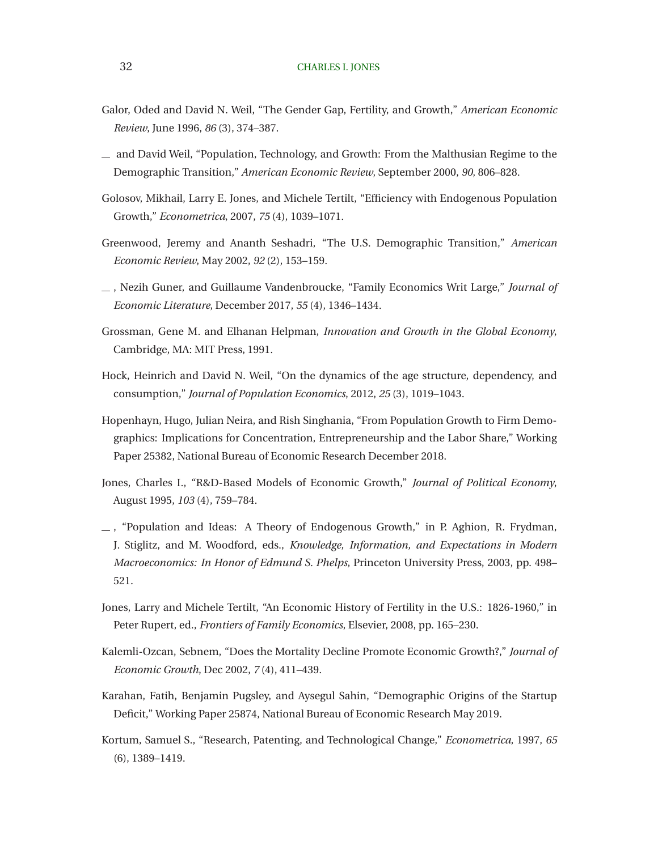- <span id="page-33-0"></span>Galor, Oded and David N. Weil, "The Gender Gap, Fertility, and Growth," *American Economic Review*, June 1996, *86* (3), 374–387.
- and David Weil, "Population, Technology, and Growth: From the Malthusian Regime to the Demographic Transition," *American Economic Review*, September 2000, *90*, 806–828.
- Golosov, Mikhail, Larry E. Jones, and Michele Tertilt, "Efficiency with Endogenous Population Growth," *Econometrica*, 2007, *75* (4), 1039–1071.
- Greenwood, Jeremy and Ananth Seshadri, "The U.S. Demographic Transition," *American Economic Review*, May 2002, *92* (2), 153–159.
- , Nezih Guner, and Guillaume Vandenbroucke, "Family Economics Writ Large," *Journal of Economic Literature*, December 2017, *55* (4), 1346–1434.
- Grossman, Gene M. and Elhanan Helpman, *Innovation and Growth in the Global Economy*, Cambridge, MA: MIT Press, 1991.
- Hock, Heinrich and David N. Weil, "On the dynamics of the age structure, dependency, and consumption," *Journal of Population Economics*, 2012, *25* (3), 1019–1043.
- Hopenhayn, Hugo, Julian Neira, and Rish Singhania, "From Population Growth to Firm Demographics: Implications for Concentration, Entrepreneurship and the Labor Share," Working Paper 25382, National Bureau of Economic Research December 2018.
- Jones, Charles I., "R&D-Based Models of Economic Growth," *Journal of Political Economy*, August 1995, *103* (4), 759–784.
- , "Population and Ideas: A Theory of Endogenous Growth," in P. Aghion, R. Frydman, J. Stiglitz, and M. Woodford, eds., *Knowledge, Information, and Expectations in Modern Macroeconomics: In Honor of Edmund S. Phelps*, Princeton University Press, 2003, pp. 498– 521.
- Jones, Larry and Michele Tertilt, "An Economic History of Fertility in the U.S.: 1826-1960," in Peter Rupert, ed., *Frontiers of Family Economics*, Elsevier, 2008, pp. 165–230.
- Kalemli-Ozcan, Sebnem, "Does the Mortality Decline Promote Economic Growth?," *Journal of Economic Growth*, Dec 2002, *7* (4), 411–439.
- Karahan, Fatih, Benjamin Pugsley, and Aysegul Sahin, "Demographic Origins of the Startup Deficit," Working Paper 25874, National Bureau of Economic Research May 2019.
- Kortum, Samuel S., "Research, Patenting, and Technological Change," *Econometrica*, 1997, *65* (6), 1389–1419.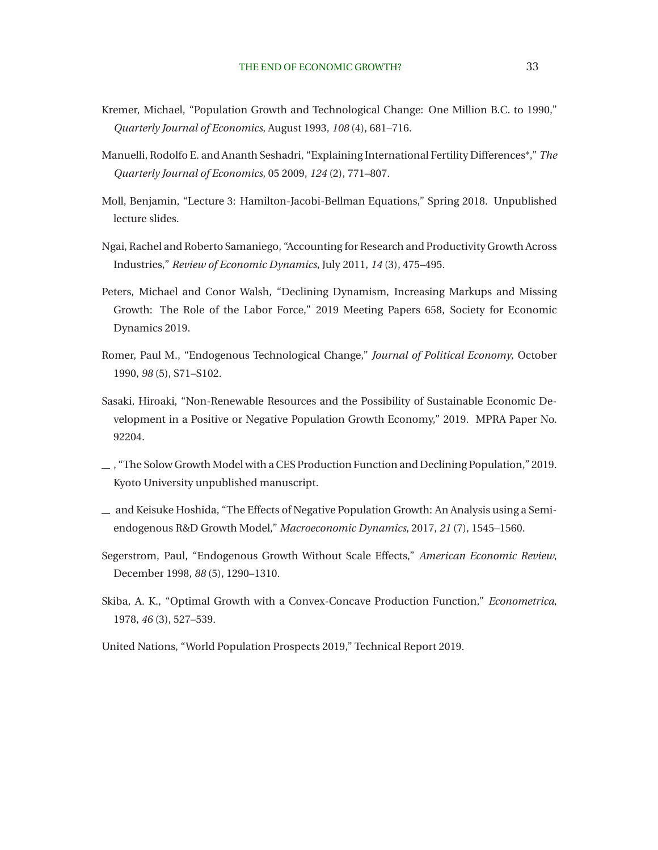- <span id="page-34-0"></span>Kremer, Michael, "Population Growth and Technological Change: One Million B.C. to 1990," *Quarterly Journal of Economics*, August 1993, *108* (4), 681–716.
- Manuelli, Rodolfo E. and Ananth Seshadri, "Explaining International Fertility Differences\*," *The Quarterly Journal of Economics*, 05 2009, *124* (2), 771–807.
- Moll, Benjamin, "Lecture 3: Hamilton-Jacobi-Bellman Equations," Spring 2018. Unpublished lecture slides.
- Ngai, Rachel and Roberto Samaniego, "Accounting for Research and Productivity Growth Across Industries," *Review of Economic Dynamics*, July 2011, *14* (3), 475–495.
- Peters, Michael and Conor Walsh, "Declining Dynamism, Increasing Markups and Missing Growth: The Role of the Labor Force," 2019 Meeting Papers 658, Society for Economic Dynamics 2019.
- Romer, Paul M., "Endogenous Technological Change," *Journal of Political Economy*, October 1990, *98* (5), S71–S102.
- Sasaki, Hiroaki, "Non-Renewable Resources and the Possibility of Sustainable Economic Development in a Positive or Negative Population Growth Economy," 2019. MPRA Paper No. 92204.
- , "The Solow Growth Model with a CES Production Function and Declining Population," 2019. Kyoto University unpublished manuscript.
- and Keisuke Hoshida, "The Effects of Negative Population Growth: An Analysis using a Semiendogenous R&D Growth Model," *Macroeconomic Dynamics*, 2017, *21* (7), 1545–1560.
- Segerstrom, Paul, "Endogenous Growth Without Scale Effects," *American Economic Review*, December 1998, *88* (5), 1290–1310.
- Skiba, A. K., "Optimal Growth with a Convex-Concave Production Function," *Econometrica*, 1978, *46* (3), 527–539.
- United Nations, "World Population Prospects 2019," Technical Report 2019.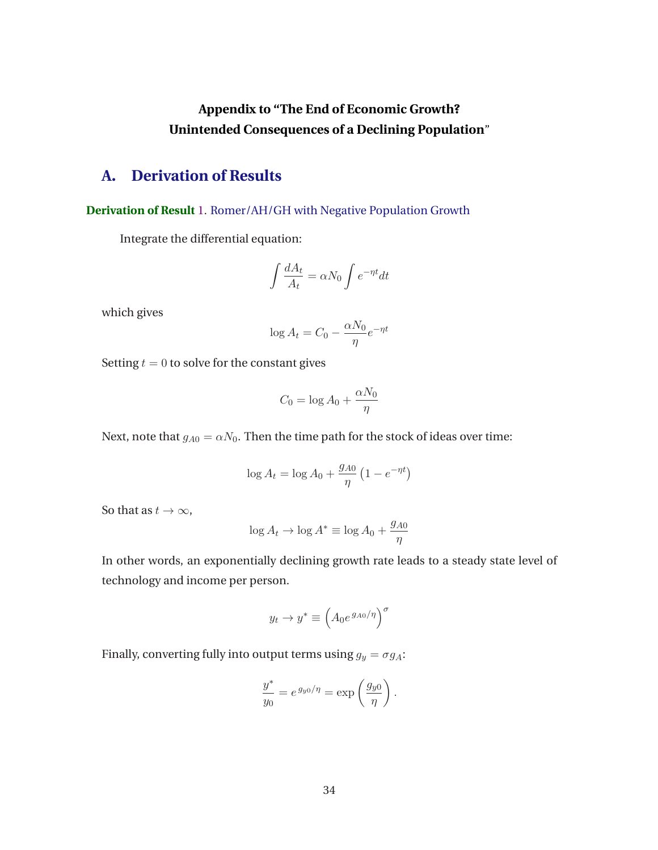# **Appendix to "The End of Economic Growth? Unintended Consequences of a Declining Population**"

# <span id="page-35-0"></span>**A. Derivation of Results**

**Derivation of Result** [1.](#page-7-0) Romer/AH/GH with Negative Population Growth

Integrate the differential equation:

$$
\int \frac{dA_t}{A_t} = \alpha N_0 \int e^{-\eta t} dt
$$

which gives

$$
\log A_t = C_0 - \frac{\alpha N_0}{\eta} e^{-\eta t}
$$

Setting  $t = 0$  to solve for the constant gives

$$
C_0 = \log A_0 + \frac{\alpha N_0}{\eta}
$$

Next, note that  $g_{A0} = \alpha N_0$ . Then the time path for the stock of ideas over time:

$$
\log A_t = \log A_0 + \frac{g_{A0}}{\eta} \left( 1 - e^{-\eta t} \right)
$$

So that as  $t \to \infty$ ,

$$
\log A_t \to \log A^* \equiv \log A_0 + \frac{g_{A0}}{\eta}
$$

In other words, an exponentially declining growth rate leads to a steady state level of technology and income per person.

$$
y_t \to y^* \equiv \left(A_0 e^{g_{A0}/\eta}\right)^\sigma
$$

Finally, converting fully into output terms using  $g_y = \sigma g_A$ :

$$
\frac{y^*}{y_0} = e^{g_{y0}/\eta} = \exp\left(\frac{g_{y0}}{\eta}\right).
$$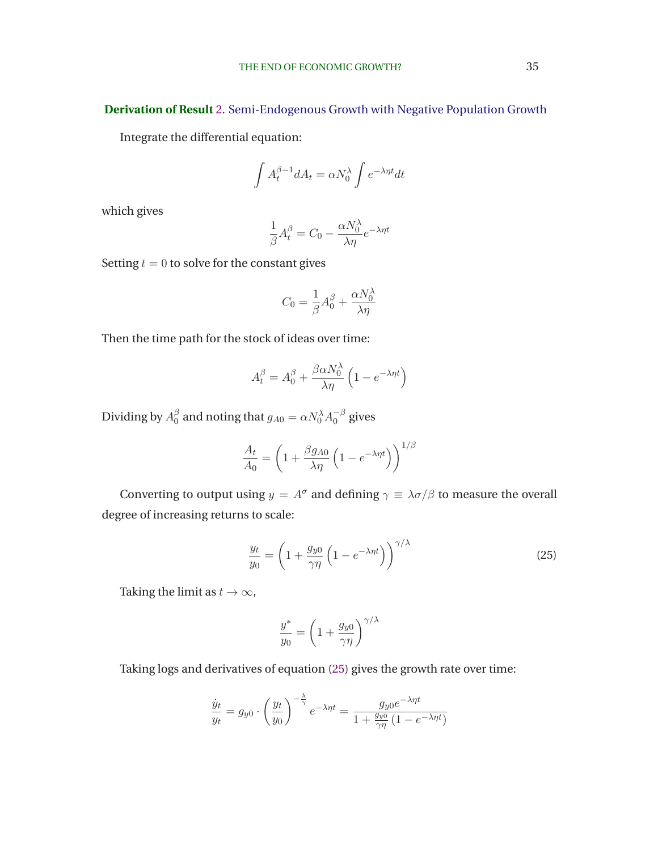<span id="page-36-0"></span>**Derivation of Result** [2.](#page-8-0) Semi-Endogenous Growth with Negative Population Growth

Integrate the differential equation:

$$
\int A_t^{\beta - 1} dA_t = \alpha N_0^{\lambda} \int e^{-\lambda \eta t} dt
$$

which gives

$$
\frac{1}{\beta}A_t^{\beta} = C_0 - \frac{\alpha N_0^{\lambda}}{\lambda \eta}e^{-\lambda \eta t}
$$

Setting  $t = 0$  to solve for the constant gives

$$
C_0=\frac{1}{\beta}A_0^{\beta}+\frac{\alpha N_0^{\lambda}}{\lambda\eta}
$$

Then the time path for the stock of ideas over time:

$$
A_t^{\beta} = A_0^{\beta} + \frac{\beta \alpha N_0^{\lambda}}{\lambda \eta} \left( 1 - e^{-\lambda \eta t} \right)
$$

Dividing by  $A_0^{\beta}$  $\frac{\beta}{0}$  and noting that  $g_{A0}=\alpha N_0^{\lambda}A_0^{-\beta}$  $_0^{-\rho}$  gives

$$
\frac{A_t}{A_0} = \left(1 + \frac{\beta g_{A0}}{\lambda \eta} \left(1 - e^{-\lambda \eta t}\right)\right)^{1/\beta}
$$

Converting to output using  $y = A^{\sigma}$  and defining  $\gamma = \lambda \sigma / \beta$  to measure the overall degree of increasing returns to scale:

$$
\frac{y_t}{y_0} = \left(1 + \frac{g_{y0}}{\gamma \eta} \left(1 - e^{-\lambda \eta t}\right)\right)^{\gamma/\lambda} \tag{25}
$$

Taking the limit as  $t \to \infty$ ,

$$
\frac{y^*}{y_0} = \left(1 + \frac{g_{y0}}{\gamma \eta}\right)^{\gamma/\lambda}
$$

Taking logs and derivatives of equation (25) gives the growth rate over time:

$$
\frac{\dot{y}_t}{y_t} = g_{y0} \cdot \left(\frac{y_t}{y_0}\right)^{-\frac{\lambda}{\gamma}} e^{-\lambda \eta t} = \frac{g_{y0} e^{-\lambda \eta t}}{1 + \frac{g_{y0}}{\gamma \eta} \left(1 - e^{-\lambda \eta t}\right)}
$$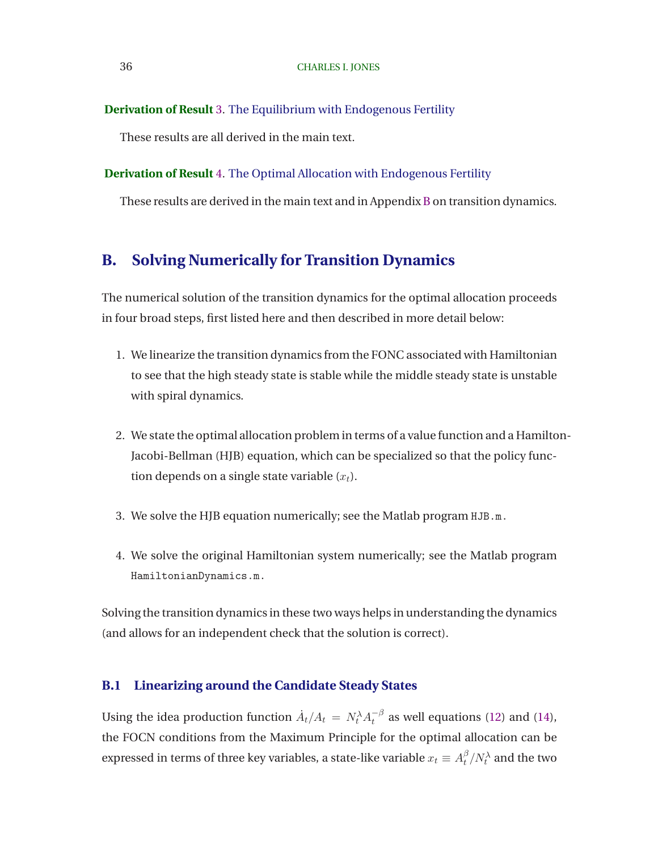#### <span id="page-37-0"></span>**Derivation of Result** [3.](#page-13-0) The Equilibrium with Endogenous Fertility

These results are all derived in the main text.

#### **Derivation of Result** [4.](#page-30-0) The Optimal Allocation with Endogenous Fertility

These results are derived in the main text and in Appendix B on transition dynamics.

## **B. Solving Numerically for Transition Dynamics**

The numerical solution of the transition dynamics for the optimal allocation proceeds in four broad steps, first listed here and then described in more detail below:

- 1. We linearize the transition dynamics from the FONC associated with Hamiltonian to see that the high steady state is stable while the middle steady state is unstable with spiral dynamics.
- 2. We state the optimal allocation problem in terms of a value function and a Hamilton-Jacobi-Bellman (HJB) equation, which can be specialized so that the policy function depends on a single state variable  $(x_t)$ .
- 3. We solve the HJB equation numerically; see the Matlab program HJB.m.
- 4. We solve the original Hamiltonian system numerically; see the Matlab program HamiltonianDynamics.m.

Solving the transition dynamics in these two ways helps in understanding the dynamics (and allows for an independent check that the solution is correct).

### **B.1 Linearizing around the Candidate Steady States**

Using the idea production function  $\dot{A}_t/A_t \,=\, N_t^{\lambda} A_t^{-\beta}$  $t<sup>-p</sup>$  as well equations [\(12\)](#page-15-0) and [\(14\)](#page-15-0), the FOCN conditions from the Maximum Principle for the optimal allocation can be expressed in terms of three key variables, a state-like variable  $x_t \equiv A_t^\beta$  $_{t}^{\beta}/N_{t}^{\lambda}$  and the two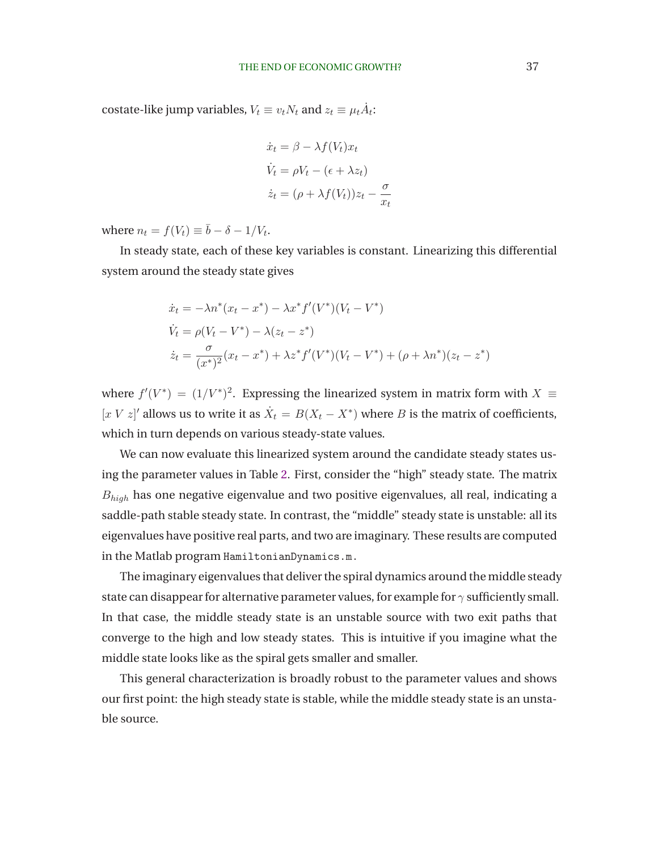costate-like jump variables,  $V_t \equiv v_t N_t$  and  $z_t \equiv \mu_t \dot{A}_t$ :

$$
\dot{x}_t = \beta - \lambda f(V_t)x_t
$$

$$
\dot{V}_t = \rho V_t - (\epsilon + \lambda z_t)
$$

$$
\dot{z}_t = (\rho + \lambda f(V_t))z_t - \frac{\sigma}{x_t}
$$

where  $n_t = f(V_t) \equiv \bar{b} - \delta - 1/V_t$ .

In steady state, each of these key variables is constant. Linearizing this differential system around the steady state gives

$$
\begin{aligned}\n\dot{x}_t &= -\lambda n^*(x_t - x^*) - \lambda x^* f'(V^*)(V_t - V^*) \\
\dot{V}_t &= \rho(V_t - V^*) - \lambda (z_t - z^*) \\
\dot{z}_t &= \frac{\sigma}{(x^*)^2} (x_t - x^*) + \lambda z^* f'(V^*)(V_t - V^*) + (\rho + \lambda n^*)(z_t - z^*)\n\end{aligned}
$$

where  $f'(V^*) = (1/V^*)^2$ . Expressing the linearized system in matrix form with  $X \equiv$ [x V z]' allows us to write it as  $\dot{X}_t = B(X_t - X^*)$  where B is the matrix of coefficients, which in turn depends on various steady-state values.

We can now evaluate this linearized system around the candidate steady states using the parameter values in Table [2.](#page-21-0) First, consider the "high" steady state. The matrix  $B_{high}$  has one negative eigenvalue and two positive eigenvalues, all real, indicating a saddle-path stable steady state. In contrast, the "middle" steady state is unstable: all its eigenvalues have positive real parts, and two are imaginary. These results are computed in the Matlab program HamiltonianDynamics.m.

The imaginary eigenvalues that deliver the spiral dynamics around the middle steady state can disappear for alternative parameter values, for example for  $\gamma$  sufficiently small. In that case, the middle steady state is an unstable source with two exit paths that converge to the high and low steady states. This is intuitive if you imagine what the middle state looks like as the spiral gets smaller and smaller.

This general characterization is broadly robust to the parameter values and shows our first point: the high steady state is stable, while the middle steady state is an unstable source.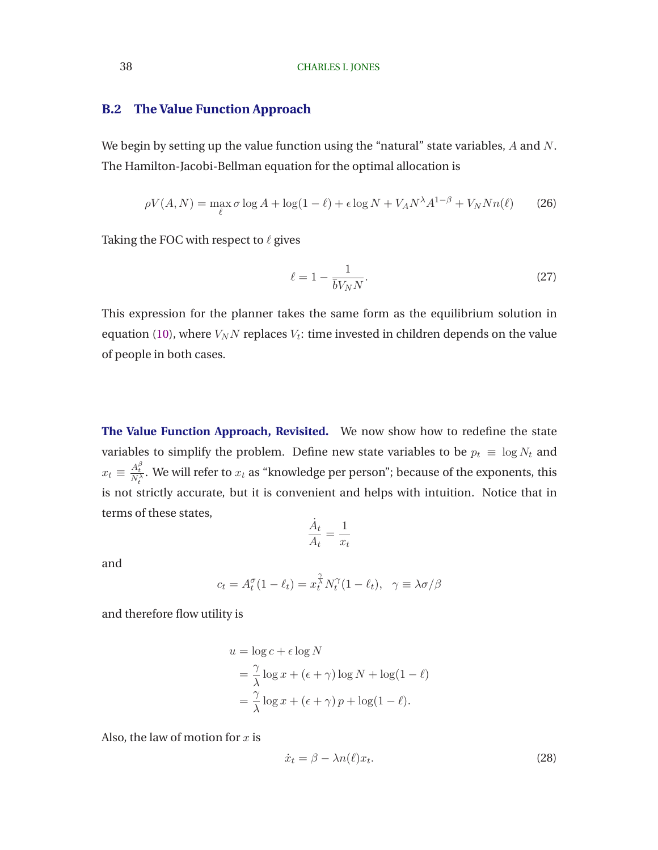### <span id="page-39-0"></span>**B.2 The Value Function Approach**

We begin by setting up the value function using the "natural" state variables, A and N. The Hamilton-Jacobi-Bellman equation for the optimal allocation is

$$
\rho V(A, N) = \max_{\ell} \sigma \log A + \log(1 - \ell) + \epsilon \log N + V_A N^{\lambda} A^{1 - \beta} + V_N N n(\ell) \tag{26}
$$

Taking the FOC with respect to  $\ell$  gives

$$
\ell = 1 - \frac{1}{\bar{b}V_N N}.\tag{27}
$$

This expression for the planner takes the same form as the equilibrium solution in equation [\(10\)](#page-13-0), where  $V_N N$  replaces  $V_t$ : time invested in children depends on the value of people in both cases.

**The Value Function Approach, Revisited.** We now show how to redefine the state variables to simplify the problem. Define new state variables to be  $p_t \equiv \log N_t$  and  $x_t \equiv \frac{A_t^\beta}{N_t^\lambda}$ . We will refer to  $x_t$  as "knowledge per person"; because of the exponents, this is not strictly accurate, but it is convenient and helps with intuition. Notice that in terms of these states,

$$
\frac{\dot{A}_t}{A_t} = \frac{1}{x_t}
$$

and

$$
c_t = A_t^{\sigma} (1 - \ell_t) = x_t^{\frac{\gamma}{\lambda}} N_t^{\gamma} (1 - \ell_t), \quad \gamma \equiv \lambda \sigma / \beta
$$

and therefore flow utility is

$$
u = \log c + \epsilon \log N
$$
  
=  $\frac{\gamma}{\lambda} \log x + (\epsilon + \gamma) \log N + \log(1 - \ell)$   
=  $\frac{\gamma}{\lambda} \log x + (\epsilon + \gamma) p + \log(1 - \ell)$ .

Also, the law of motion for  $x$  is

$$
\dot{x}_t = \beta - \lambda n(\ell)x_t.
$$
\n(28)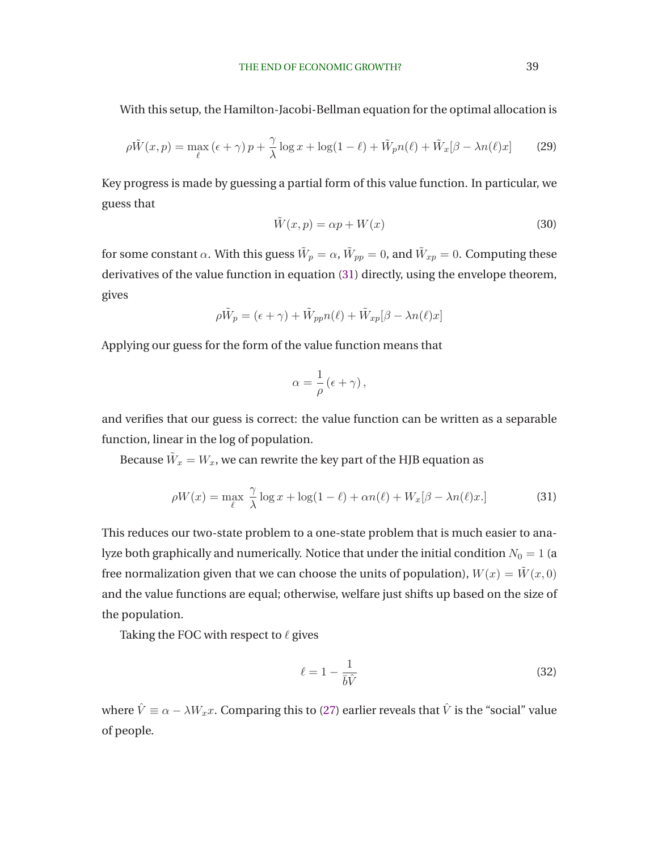With this setup, the Hamilton-Jacobi-Bellman equation for the optimal allocation is

$$
\rho \tilde{W}(x, p) = \max_{\ell} (\epsilon + \gamma) p + \frac{\gamma}{\lambda} \log x + \log(1 - \ell) + \tilde{W}_p n(\ell) + \tilde{W}_x[\beta - \lambda n(\ell)x]
$$
(29)

Key progress is made by guessing a partial form of this value function. In particular, we guess that

$$
\tilde{W}(x, p) = \alpha p + W(x) \tag{30}
$$

for some constant  $\alpha.$  With this guess  $\tilde{W}_p=\alpha,$   $\tilde{W}_{pp}=0,$  and  $\tilde{W}_{xp}=0.$  Computing these derivatives of the value function in equation (31) directly, using the envelope theorem, gives

$$
\rho \tilde{W}_p = (\epsilon + \gamma) + \tilde{W}_{pp} n(\ell) + \tilde{W}_{xp} [\beta - \lambda n(\ell)x]
$$

Applying our guess for the form of the value function means that

$$
\alpha = \frac{1}{\rho} \left( \epsilon + \gamma \right),
$$

and verifies that our guess is correct: the value function can be written as a separable function, linear in the log of population.

Because  $\tilde{W}_x=W_x$ , we can rewrite the key part of the HJB equation as

$$
\rho W(x) = \max_{\ell} \frac{\gamma}{\lambda} \log x + \log(1 - \ell) + \alpha n(\ell) + W_x[\beta - \lambda n(\ell)x.] \tag{31}
$$

This reduces our two-state problem to a one-state problem that is much easier to analyze both graphically and numerically. Notice that under the initial condition  $N_0 = 1$  (a free normalization given that we can choose the units of population),  $W(x) = \tilde{W}(x, 0)$ and the value functions are equal; otherwise, welfare just shifts up based on the size of the population.

Taking the FOC with respect to  $\ell$  gives

$$
\ell = 1 - \frac{1}{\bar{b}\hat{V}}\tag{32}
$$

where  $\hat{V} \equiv \alpha - \lambda W_x x$ . Comparing this to [\(27\)](#page-39-0) earlier reveals that  $\hat{V}$  is the "social" value of people.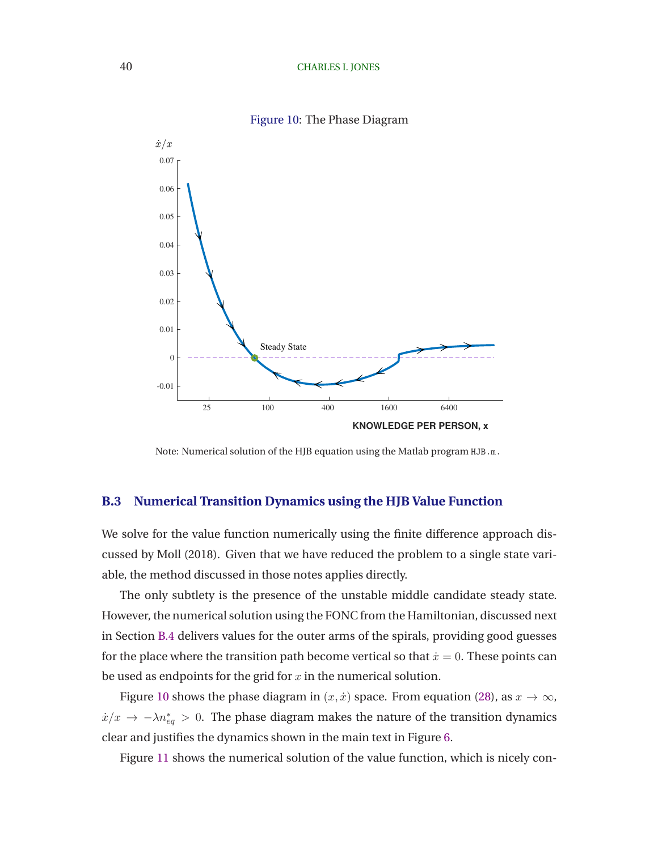#### 40 CHARLES I. JONES



Figure 10: The Phase Diagram

Note: Numerical solution of the HJB equation using the Matlab program HJB.m.

#### **B.3 Numerical Transition Dynamics using the HJB Value Function**

We solve for the value function numerically using the finite difference approach discussed by [Moll](#page-34-0) [\(2018](#page-34-0)). Given that we have reduced the problem to a single state variable, the method discussed in those notes applies directly.

The only subtlety is the presence of the unstable middle candidate steady state. However, the numerical solution using the FONC from the Hamiltonian, discussed next in Section [B.4](#page-42-0) delivers values for the outer arms of the spirals, providing good guesses for the place where the transition path become vertical so that  $\dot{x} = 0$ . These points can be used as endpoints for the grid for  $x$  in the numerical solution.

Figure 10 shows the phase diagram in  $(x, \dot{x})$  space. From equation [\(28\)](#page-39-0), as  $x \to \infty$ ,  $\dot{x}/x \to -\lambda n_{eq}^* > 0$ . The phase diagram makes the nature of the transition dynamics clear and justifies the dynamics shown in the main text in Figure [6.](#page-24-0)

Figure [11](#page-42-0) shows the numerical solution of the value function, which is nicely con-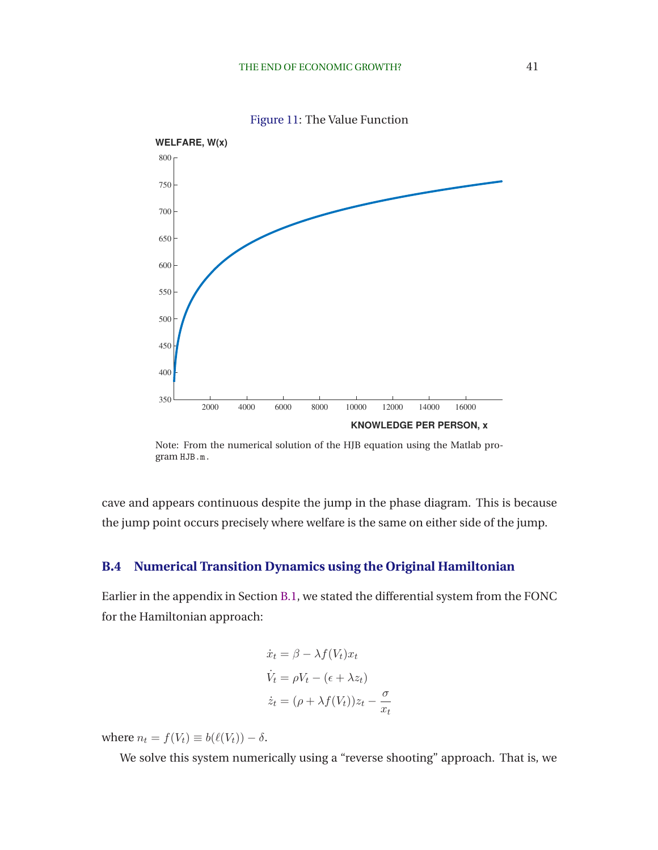<span id="page-42-0"></span>



Note: From the numerical solution of the HJB equation using the Matlab program HJB.m.

cave and appears continuous despite the jump in the phase diagram. This is because the jump point occurs precisely where welfare is the same on either side of the jump.

### **B.4 Numerical Transition Dynamics using the Original Hamiltonian**

Earlier in the appendix in Section [B.1,](#page-37-0) we stated the differential system from the FONC for the Hamiltonian approach:

$$
\dot{x}_t = \beta - \lambda f(V_t)x_t
$$

$$
\dot{V}_t = \rho V_t - (\epsilon + \lambda z_t)
$$

$$
\dot{z}_t = (\rho + \lambda f(V_t))z_t - \frac{\sigma}{x_t}
$$

where  $n_t = f(V_t) \equiv b(\ell(V_t)) - \delta$ .

We solve this system numerically using a "reverse shooting" approach. That is, we